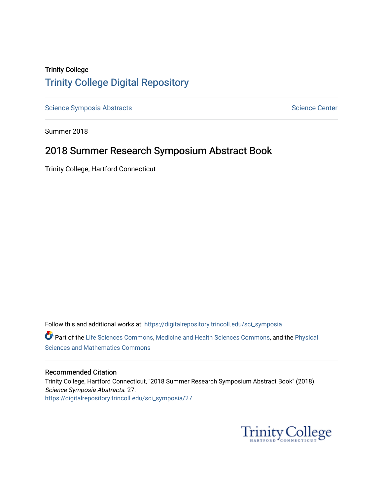## Trinity College [Trinity College Digital Repository](https://digitalrepository.trincoll.edu/)

[Science Symposia Abstracts](https://digitalrepository.trincoll.edu/sci_symposia) **Science Center** Science Center

Summer 2018

## 2018 Summer Research Symposium Abstract Book

Trinity College, Hartford Connecticut

Follow this and additional works at: [https://digitalrepository.trincoll.edu/sci\\_symposia](https://digitalrepository.trincoll.edu/sci_symposia?utm_source=digitalrepository.trincoll.edu%2Fsci_symposia%2F27&utm_medium=PDF&utm_campaign=PDFCoverPages)  Part of the [Life Sciences Commons,](http://network.bepress.com/hgg/discipline/1016?utm_source=digitalrepository.trincoll.edu%2Fsci_symposia%2F27&utm_medium=PDF&utm_campaign=PDFCoverPages) [Medicine and Health Sciences Commons,](http://network.bepress.com/hgg/discipline/648?utm_source=digitalrepository.trincoll.edu%2Fsci_symposia%2F27&utm_medium=PDF&utm_campaign=PDFCoverPages) and the Physical [Sciences and Mathematics Commons](http://network.bepress.com/hgg/discipline/114?utm_source=digitalrepository.trincoll.edu%2Fsci_symposia%2F27&utm_medium=PDF&utm_campaign=PDFCoverPages) 

#### Recommended Citation

Trinity College, Hartford Connecticut, "2018 Summer Research Symposium Abstract Book" (2018). Science Symposia Abstracts. 27. [https://digitalrepository.trincoll.edu/sci\\_symposia/27](https://digitalrepository.trincoll.edu/sci_symposia/27?utm_source=digitalrepository.trincoll.edu%2Fsci_symposia%2F27&utm_medium=PDF&utm_campaign=PDFCoverPages) 

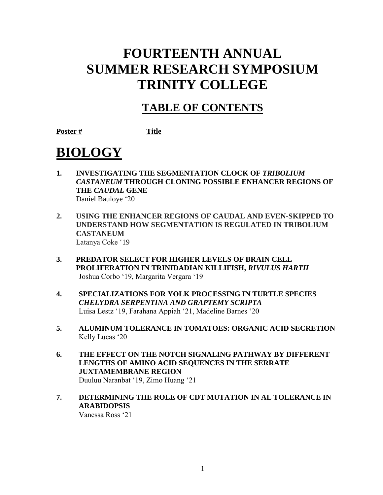## **FOURTEENTH ANNUAL SUMMER RESEARCH SYMPOSIUM TRINITY COLLEGE**

## **TABLE OF CONTENTS**

**Poster # Title**

# **BIOLOGY**

- 1. **INVESTIGATING THE SEGMENTATION CLOCK OF TRIBOLIUM** *CASTANEUM* **THROUGH CLONING POSSIBLE ENHANCER REGIONS OF THE** *CAUDAL* **GENE** Daniel Bauloye '20
- **2. USING THE ENHANCER REGIONS OF CAUDAL AND EVEN-SKIPPED TO UNDERSTAND HOW SEGMENTATION IS REGULATED IN TRIBOLIUM CASTANEUM** Latanya Coke '19
- **3. PREDATOR SELECT FOR HIGHER LEVELS OF BRAIN CELL PROLIFERATION IN TRINIDADIAN KILLIFISH,** *RIVULUS HARTII* Joshua Corbo '19, Margarita Vergara '19
- **4. SPECIALIZATIONS FOR YOLK PROCESSING IN TURTLE SPECIES**  *CHELYDRA SERPENTINA AND GRAPTEMY SCRIPTA* Luisa Lestz '19, Farahana Appiah '21, Madeline Barnes '20
- **5. ALUMINUM TOLERANCE IN TOMATOES: ORGANIC ACID SECRETION** Kelly Lucas '20
- **6. THE EFFECT ON THE NOTCH SIGNALING PATHWAY BY DIFFERENT LENGTHS OF AMINO ACID SEQUENCES IN THE SERRATE JUXTAMEMBRANE REGION**  Duuluu Naranbat '19, Zimo Huang '21
- **7. DETERMINING THE ROLE OF CDT MUTATION IN AL TOLERANCE IN ARABIDOPSIS**

Vanessa Ross '21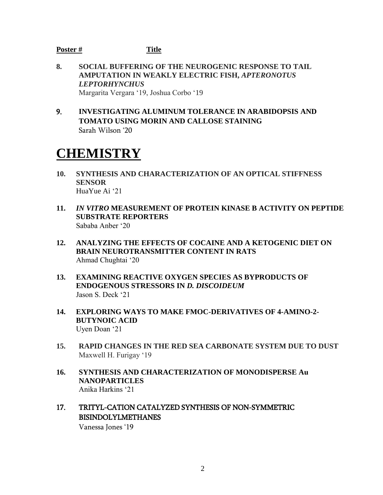- **8. SOCIAL BUFFERING OF THE NEUROGENIC RESPONSE TO TAIL AMPUTATION IN WEAKLY ELECTRIC FISH,** *APTERONOTUS LEPTORHYNCHUS* Margarita Vergara '19, Joshua Corbo '19
- 9. **INVESTIGATING ALUMINUM TOLERANCE IN ARABIDOPSIS AND TOMATO USING MORIN AND CALLOSE STAINING** Sarah Wilson '20

## **CHEMISTRY**

- **10. SYNTHESIS AND CHARACTERIZATION OF AN OPTICAL STIFFNESS SENSOR** HuaYue Ai '21
- **11.** *IN VITRO* **MEASUREMENT OF PROTEIN KINASE B ACTIVITY ON PEPTIDE SUBSTRATE REPORTERS**  Sababa Anber '20
- **12. ANALYZING THE EFFECTS OF COCAINE AND A KETOGENIC DIET ON BRAIN NEUROTRANSMITTER CONTENT IN RATS** Ahmad Chughtai '20
- **13. EXAMINING REACTIVE OXYGEN SPECIES AS BYPRODUCTS OF ENDOGENOUS STRESSORS IN** *D. DISCOIDEUM* Jason S. Deck '21
- **14. EXPLORING WAYS TO MAKE FMOC-DERIVATIVES OF 4-AMINO-2- BUTYNOIC ACID**  Uyen Doan '21
- **15. RAPID CHANGES IN THE RED SEA CARBONATE SYSTEM DUE TO DUST** Maxwell H. Furigay '19
- **16. SYNTHESIS AND CHARACTERIZATION OF MONODISPERSE Au NANOPARTICLES** Anika Harkins '21
- 17. TRITYL-CATION CATALYZED SYNTHESIS OF NON-SYMMETRIC BISINDOLYLMETHANES

Vanessa Jones '19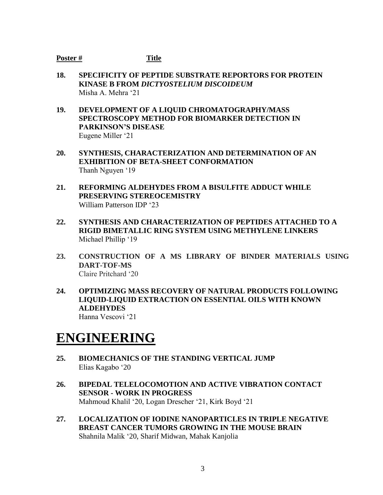- **18. SPECIFICITY OF PEPTIDE SUBSTRATE REPORTORS FOR PROTEIN KINASE B FROM** *DICTYOSTELIUM DISCOIDEUM* Misha A. Mehra '21
- **19. DEVELOPMENT OF A LIQUID CHROMATOGRAPHY/MASS SPECTROSCOPY METHOD FOR BIOMARKER DETECTION IN PARKINSON'S DISEASE** Eugene Miller '21
- **20. SYNTHESIS, CHARACTERIZATION AND DETERMINATION OF AN EXHIBITION OF BETA-SHEET CONFORMATION**  Thanh Nguyen '19
- **21. REFORMING ALDEHYDES FROM A BISULFITE ADDUCT WHILE PRESERVING STEREOCEMISTRY** William Patterson IDP '23
- **22. SYNTHESIS AND CHARACTERIZATION OF PEPTIDES ATTACHED TO A RIGID BIMETALLIC RING SYSTEM USING METHYLENE LINKERS** Michael Phillip '19
- **23. CONSTRUCTION OF A MS LIBRARY OF BINDER MATERIALS USING DART-TOF-MS** Claire Pritchard '20
- **24. OPTIMIZING MASS RECOVERY OF NATURAL PRODUCTS FOLLOWING LIQUID-LIQUID EXTRACTION ON ESSENTIAL OILS WITH KNOWN ALDEHYDES** Hanna Vescovi '21

## **ENGINEERING**

- **25. BIOMECHANICS OF THE STANDING VERTICAL JUMP** Elias Kagabo '20
- **26. BIPEDAL TELELOCOMOTION AND ACTIVE VIBRATION CONTACT SENSOR - WORK IN PROGRESS** Mahmoud Khalil '20, Logan Drescher '21, Kirk Boyd '21
- **27. LOCALIZATION OF IODINE NANOPARTICLES IN TRIPLE NEGATIVE BREAST CANCER TUMORS GROWING IN THE MOUSE BRAIN** Shahnila Malik '20, Sharif Midwan, Mahak Kanjolia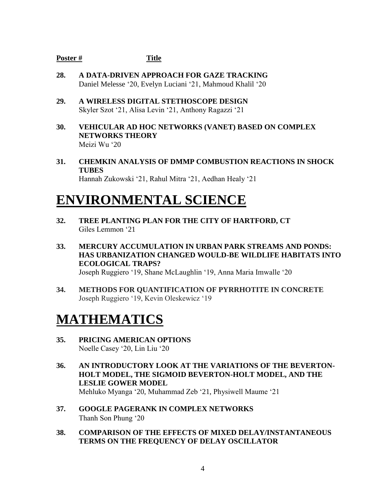- **28. A DATA-DRIVEN APPROACH FOR GAZE TRACKING** Daniel Melesse '20, Evelyn Luciani '21, Mahmoud Khalil '20
- **29. A WIRELESS DIGITAL STETHOSCOPE DESIGN** Skyler Szot '21, Alisa Levin '21, Anthony Ragazzi '21
- **30. VEHICULAR AD HOC NETWORKS (VANET) BASED ON COMPLEX NETWORKS THEORY** Meizi Wu '20
- **31. CHEMKIN ANALYSIS OF DMMP COMBUSTION REACTIONS IN SHOCK TUBES** Hannah Zukowski '21, Rahul Mitra '21, Aedhan Healy '21

## **ENVIRONMENTAL SCIENCE**

- **32. TREE PLANTING PLAN FOR THE CITY OF HARTFORD, CT** Giles Lemmon '21
- **33. MERCURY ACCUMULATION IN URBAN PARK STREAMS AND PONDS: HAS URBANIZATION CHANGED WOULD-BE WILDLIFE HABITATS INTO ECOLOGICAL TRAPS?** Joseph Ruggiero '19, Shane McLaughlin '19, Anna Maria Imwalle '20
- **34. METHODS FOR QUANTIFICATION OF PYRRHOTITE IN CONCRETE** Joseph Ruggiero '19, Kevin Oleskewicz '19

## **MATHEMATICS**

- **35. PRICING AMERICAN OPTIONS** Noelle Casey '20, Lin Liu '20
- **36. AN INTRODUCTORY LOOK AT THE VARIATIONS OF THE BEVERTON-HOLT MODEL, THE SIGMOID BEVERTON-HOLT MODEL, AND THE LESLIE GOWER MODEL** Mehluko Myanga '20, Muhammad Zeb '21, Physiwell Maume '21
- **37. GOOGLE PAGERANK IN COMPLEX NETWORKS** Thanh Son Phung '20
- **38. COMPARISON OF THE EFFECTS OF MIXED DELAY/INSTANTANEOUS TERMS ON THE FREQUENCY OF DELAY OSCILLATOR**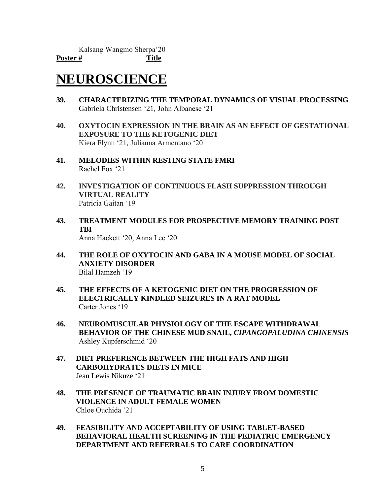## **NEUROSCIENCE**

- **39. CHARACTERIZING THE TEMPORAL DYNAMICS OF VISUAL PROCESSING** Gabriela Christensen '21, John Albanese '21
- **40. OXYTOCIN EXPRESSION IN THE BRAIN AS AN EFFECT OF GESTATIONAL EXPOSURE TO THE KETOGENIC DIET** Kiera Flynn '21, Julianna Armentano '20
- **41. MELODIES WITHIN RESTING STATE FMRI** Rachel Fox '21
- **42. INVESTIGATION OF CONTINUOUS FLASH SUPPRESSION THROUGH VIRTUAL REALITY** Patricia Gaitan '19
- **43. TREATMENT MODULES FOR PROSPECTIVE MEMORY TRAINING POST TBI** Anna Hackett '20, Anna Lee '20
- **44. THE ROLE OF OXYTOCIN AND GABA IN A MOUSE MODEL OF SOCIAL ANXIETY DISORDER** Bilal Hamzeh '19
- **45. THE EFFECTS OF A KETOGENIC DIET ON THE PROGRESSION OF ELECTRICALLY KINDLED SEIZURES IN A RAT MODEL** Carter Jones '19
- **46. NEUROMUSCULAR PHYSIOLOGY OF THE ESCAPE WITHDRAWAL BEHAVIOR OF THE CHINESE MUD SNAIL,** *CIPANGOPALUDINA CHINENSIS* Ashley Kupferschmid '20
- **47. DIET PREFERENCE BETWEEN THE HIGH FATS AND HIGH CARBOHYDRATES DIETS IN MICE** Jean Lewis Nikuze '21
- **48. THE PRESENCE OF TRAUMATIC BRAIN INJURY FROM DOMESTIC VIOLENCE IN ADULT FEMALE WOMEN** Chloe Ouchida '21
- **49. FEASIBILITY AND ACCEPTABILITY OF USING TABLET-BASED BEHAVIORAL HEALTH SCREENING IN THE PEDIATRIC EMERGENCY DEPARTMENT AND REFERRALS TO CARE COORDINATION**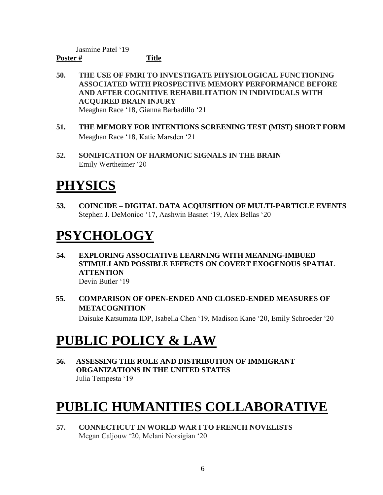Jasmine Patel '19

## **Poster # Title**

- **50. THE USE OF FMRI TO INVESTIGATE PHYSIOLOGICAL FUNCTIONING ASSOCIATED WITH PROSPECTIVE MEMORY PERFORMANCE BEFORE AND AFTER COGNITIVE REHABILITATION IN INDIVIDUALS WITH ACQUIRED BRAIN INJURY** Meaghan Race '18, Gianna Barbadillo '21
- **51. THE MEMORY FOR INTENTIONS SCREENING TEST (MIST) SHORT FORM** Meaghan Race '18, Katie Marsden '21
- **52. SONIFICATION OF HARMONIC SIGNALS IN THE BRAIN** Emily Wertheimer '20

# **PHYSICS**

**53. COINCIDE – DIGITAL DATA ACQUISITION OF MULTI-PARTICLE EVENTS** Stephen J. DeMonico '17, Aashwin Basnet '19, Alex Bellas '20

# **PSYCHOLOGY**

- **54. EXPLORING ASSOCIATIVE LEARNING WITH MEANING-IMBUED STIMULI AND POSSIBLE EFFECTS ON COVERT EXOGENOUS SPATIAL ATTENTION** Devin Butler '19
- **55. COMPARISON OF OPEN-ENDED AND CLOSED-ENDED MEASURES OF METACOGNITION** Daisuke Katsumata IDP, Isabella Chen '19, Madison Kane '20, Emily Schroeder '20

# **PUBLIC POLICY & LAW**

**56. ASSESSING THE ROLE AND DISTRIBUTION OF IMMIGRANT ORGANIZATIONS IN THE UNITED STATES** Julia Tempesta '19

# **PUBLIC HUMANITIES COLLABORATIVE**

**57. CONNECTICUT IN WORLD WAR I TO FRENCH NOVELISTS** Megan Caljouw '20, Melani Norsigian '20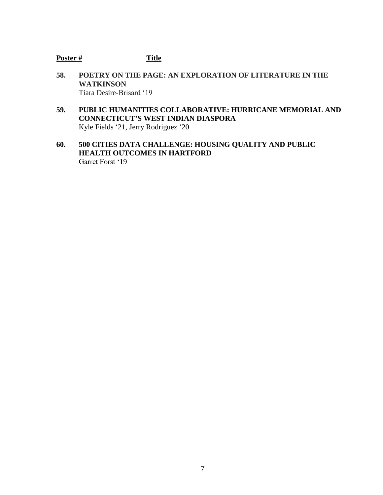- **58. POETRY ON THE PAGE: AN EXPLORATION OF LITERATURE IN THE WATKINSON** Tiara Desire-Brisard '19
- **59. PUBLIC HUMANITIES COLLABORATIVE: HURRICANE MEMORIAL AND CONNECTICUT'S WEST INDIAN DIASPORA** Kyle Fields '21, Jerry Rodriguez '20
- **60. 500 CITIES DATA CHALLENGE: HOUSING QUALITY AND PUBLIC HEALTH OUTCOMES IN HARTFORD** Garret Forst '19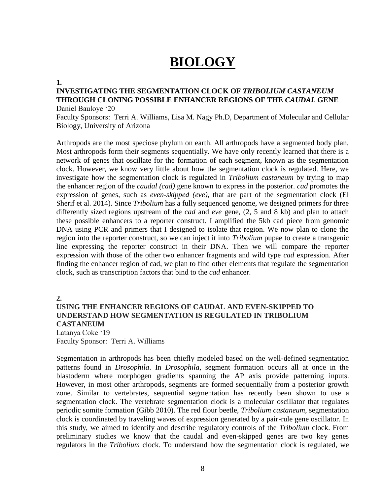## **BIOLOGY**

#### **1.**

#### **INVESTIGATING THE SEGMENTATION CLOCK OF** *TRIBOLIUM CASTANEUM* **THROUGH CLONING POSSIBLE ENHANCER REGIONS OF THE** *CAUDAL* **GENE** Daniel Bauloye '20

Faculty Sponsors: Terri A. Williams, Lisa M. Nagy Ph.D, Department of Molecular and Cellular Biology, University of Arizona

Arthropods are the most speciose phylum on earth. All arthropods have a segmented body plan. Most arthropods form their segments sequentially. We have only recently learned that there is a network of genes that oscillate for the formation of each segment, known as the segmentation clock. However, we know very little about how the segmentation clock is regulated. Here, we investigate how the segmentation clock is regulated in *Tribolium castaneum* by trying to map the enhancer region of the *caudal (cad)* gene known to express in the posterior. *cad* promotes the expression of genes, such as *even-skipped (eve)*, that are part of the segmentation clock (El Sherif et al. 2014). Since *Tribolium* has a fully sequenced genome, we designed primers for three differently sized regions upstream of the *cad* and *eve* gene, (2, 5 and 8 kb) and plan to attach these possible enhancers to a reporter construct. I amplified the 5kb cad piece from genomic DNA using PCR and primers that I designed to isolate that region. We now plan to clone the region into the reporter construct, so we can inject it into *Tribolium* pupae to create a transgenic line expressing the reporter construct in their DNA. Then we will compare the reporter expression with those of the other two enhancer fragments and wild type *cad* expression. After finding the enhancer region of cad, we plan to find other elements that regulate the segmentation clock, such as transcription factors that bind to the *cad* enhancer.

**2.**

### **USING THE ENHANCER REGIONS OF CAUDAL AND EVEN-SKIPPED TO UNDERSTAND HOW SEGMENTATION IS REGULATED IN TRIBOLIUM CASTANEUM**

Latanya Coke '19 Faculty Sponsor: Terri A. Williams

Segmentation in arthropods has been chiefly modeled based on the well-defined segmentation patterns found in *Drosophila*. In *Drosophila*, segment formation occurs all at once in the blastoderm where morphogen gradients spanning the AP axis provide patterning inputs. However, in most other arthropods, segments are formed sequentially from a posterior growth zone. Similar to vertebrates, sequential segmentation has recently been shown to use a segmentation clock. The vertebrate segmentation clock is a molecular oscillator that regulates periodic somite formation (Gibb 2010). The red flour beetle, *Tribolium castaneum*, segmentation clock is coordinated by traveling waves of expression generated by a pair-rule gene oscillator. In this study, we aimed to identify and describe regulatory controls of the *Tribolium* clock. From preliminary studies we know that the caudal and even-skipped genes are two key genes regulators in the *Tribolium* clock. To understand how the segmentation clock is regulated, we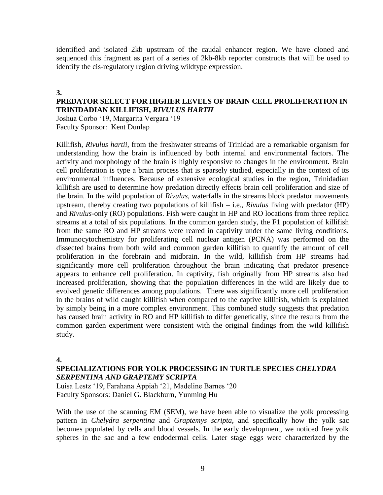identified and isolated 2kb upstream of the caudal enhancer region. We have cloned and sequenced this fragment as part of a series of 2kb-8kb reporter constructs that will be used to identify the cis-regulatory region driving wildtype expression.

#### **3.**

### **PREDATOR SELECT FOR HIGHER LEVELS OF BRAIN CELL PROLIFERATION IN TRINIDADIAN KILLIFISH,** *RIVULUS HARTII*

Joshua Corbo '19, Margarita Vergara '19 Faculty Sponsor: Kent Dunlap

Killifish, *Rivulus hartii*, from the freshwater streams of Trinidad are a remarkable organism for understanding how the brain is influenced by both internal and environmental factors. The activity and morphology of the brain is highly responsive to changes in the environment. Brain cell proliferation is type a brain process that is sparsely studied, especially in the context of its environmental influences. Because of extensive ecological studies in the region, Trinidadian killifish are used to determine how predation directly effects brain cell proliferation and size of the brain. In the wild population of *Rivulus*, waterfalls in the streams block predator movements upstream, thereby creating two populations of killifish – i.e., *Rivulus* living with predator (HP) and *Rivulus*-only (RO) populations. Fish were caught in HP and RO locations from three replica streams at a total of six populations. In the common garden study, the F1 population of killifish from the same RO and HP streams were reared in captivity under the same living conditions. Immunocytochemistry for proliferating cell nuclear antigen (PCNA) was performed on the dissected brains from both wild and common garden killifish to quantify the amount of cell proliferation in the forebrain and midbrain. In the wild, killifish from HP streams had significantly more cell proliferation throughout the brain indicating that predator presence appears to enhance cell proliferation. In captivity, fish originally from HP streams also had increased proliferation, showing that the population differences in the wild are likely due to evolved genetic differences among populations. There was significantly more cell proliferation in the brains of wild caught killifish when compared to the captive killifish, which is explained by simply being in a more complex environment. This combined study suggests that predation has caused brain activity in RO and HP killifish to differ genetically, since the results from the common garden experiment were consistent with the original findings from the wild killifish study.

#### **4.**

#### **SPECIALIZATIONS FOR YOLK PROCESSING IN TURTLE SPECIES** *CHELYDRA SERPENTINA AND GRAPTEMY SCRIPTA*

Luisa Lestz '19, Farahana Appiah '21, Madeline Barnes '20 Faculty Sponsors: Daniel G. Blackburn, Yunming Hu

With the use of the scanning EM (SEM), we have been able to visualize the yolk processing pattern in *Chelydra serpentina* and *Graptemys scripta*, and specifically how the yolk sac becomes populated by cells and blood vessels. In the early development, we noticed free yolk spheres in the sac and a few endodermal cells. Later stage eggs were characterized by the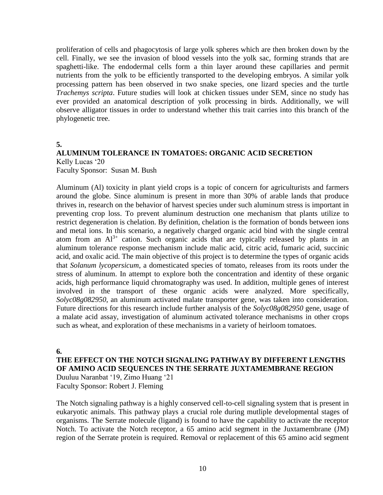proliferation of cells and phagocytosis of large yolk spheres which are then broken down by the cell. Finally, we see the invasion of blood vessels into the yolk sac, forming strands that are spaghetti-like. The endodermal cells form a thin layer around these capillaries and permit nutrients from the yolk to be efficiently transported to the developing embryos. A similar yolk processing pattern has been observed in two snake species, one lizard species and the turtle *Trachemys scripta*. Future studies will look at chicken tissues under SEM, since no study has ever provided an anatomical description of yolk processing in birds. Additionally, we will observe alligator tissues in order to understand whether this trait carries into this branch of the phylogenetic tree.

### **5.**

## **ALUMINUM TOLERANCE IN TOMATOES: ORGANIC ACID SECRETION** Kelly Lucas '20

Faculty Sponsor: Susan M. Bush

Aluminum (Al) toxicity in plant yield crops is a topic of concern for agriculturists and farmers around the globe. Since aluminum is present in more than 30% of arable lands that produce thrives in, research on the behavior of harvest species under such aluminum stress is important in preventing crop loss. To prevent aluminum destruction one mechanism that plants utilize to restrict degeneration is chelation. By definition, chelation is the formation of bonds between ions and metal ions. In this scenario, a negatively charged organic acid bind with the single central atom from an  $Al^{3+}$  cation. Such organic acids that are typically released by plants in an aluminum tolerance response mechanism include malic acid, citric acid, fumaric acid, succinic acid, and oxalic acid. The main objective of this project is to determine the types of organic acids that *Solanum lycopersicum*, a domesticated species of tomato, releases from its roots under the stress of aluminum. In attempt to explore both the concentration and identity of these organic acids, high performance liquid chromatography was used. In addition, multiple genes of interest involved in the transport of these organic acids were analyzed. More specifically, *Solyc08g082950*, an aluminum activated malate transporter gene, was taken into consideration. Future directions for this research include further analysis of the *Solyc08g082950* gene, usage of a malate acid assay, investigation of aluminum activated tolerance mechanisms in other crops such as wheat, and exploration of these mechanisms in a variety of heirloom tomatoes.

#### **6.**

**THE EFFECT ON THE NOTCH SIGNALING PATHWAY BY DIFFERENT LENGTHS OF AMINO ACID SEQUENCES IN THE SERRATE JUXTAMEMBRANE REGION**  Duuluu Naranbat '19, Zimo Huang '21 Faculty Sponsor: Robert J. Fleming

The Notch signaling pathway is a highly conserved cell-to-cell signaling system that is present in eukaryotic animals. This pathway plays a crucial role during mutliple developmental stages of organisms. The Serrate molecule (ligand) is found to have the capability to activate the receptor Notch. To activate the Notch receptor, a 65 amino acid segment in the Juxtamembrane (JM) region of the Serrate protein is required. Removal or replacement of this 65 amino acid segment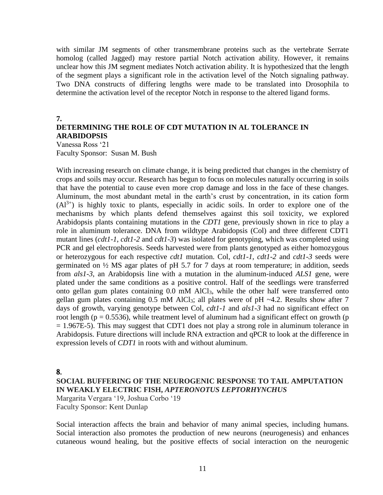with similar JM segments of other transmembrane proteins such as the vertebrate Serrate homolog (called Jagged) may restore partial Notch activation ability. However, it remains unclear how this JM segment mediates Notch activation ability. It is hypothesized that the length of the segment plays a significant role in the activation level of the Notch signaling pathway. Two DNA constructs of differing lengths were made to be translated into Drosophila to determine the activation level of the receptor Notch in response to the altered ligand forms.

#### **7. DETERMINING THE ROLE OF CDT MUTATION IN AL TOLERANCE IN ARABIDOPSIS**

Vanessa Ross '21 Faculty Sponsor: Susan M. Bush

With increasing research on climate change, it is being predicted that changes in the chemistry of crops and soils may occur. Research has begun to focus on molecules naturally occurring in soils that have the potential to cause even more crop damage and loss in the face of these changes. Aluminum, the most abundant metal in the earth's crust by concentration, in its cation form  $(A<sup>3+</sup>)$  is highly toxic to plants, especially in acidic soils. In order to explore one of the mechanisms by which plants defend themselves against this soil toxicity, we explored Arabidopsis plants containing mutations in the *CDT1* gene, previously shown in rice to play a role in aluminum tolerance. DNA from wildtype Arabidopsis (Col) and three different CDT1 mutant lines (*cdt1-1*, *cdt1-2* and *cdt1-3*) was isolated for genotyping, which was completed using PCR and gel electrophoresis. Seeds harvested were from plants genotyped as either homozygous or heterozygous for each respective *cdt1* mutation. Col, *cdt1-1*, *cdt1-2* and *cdt1-3* seeds were germinated on ½ MS agar plates of pH 5.7 for 7 days at room temperature; in addition, seeds from *als1-3*, an Arabidopsis line with a mutation in the aluminum-induced *ALS1* gene, were plated under the same conditions as a positive control. Half of the seedlings were transferred onto gellan gum plates containing 0.0 mM AlCl3, while the other half were transferred onto gellan gum plates containing  $0.5 \text{ mM }$  AlCl<sub>3</sub>; all plates were of pH ~4.2. Results show after 7 days of growth, varying genotype between Col, *cdt1-1* and *als1-3* had no significant effect on root length ( $p = 0.5536$ ), while treatment level of aluminum had a significant effect on growth ( $p$ ) = 1.967E-5). This may suggest that CDT1 does not play a strong role in aluminum tolerance in Arabidopsis. Future directions will include RNA extraction and qPCR to look at the difference in expression levels of *CDT1* in roots with and without aluminum.

#### 8.

## **SOCIAL BUFFERING OF THE NEUROGENIC RESPONSE TO TAIL AMPUTATION IN WEAKLY ELECTRIC FISH,** *APTERONOTUS LEPTORHYNCHUS* Margarita Vergara '19, Joshua Corbo '19

Faculty Sponsor: Kent Dunlap

Social interaction affects the brain and behavior of many animal species, including humans. Social interaction also promotes the production of new neurons (neurogenesis) and enhances cutaneous wound healing, but the positive effects of social interaction on the neurogenic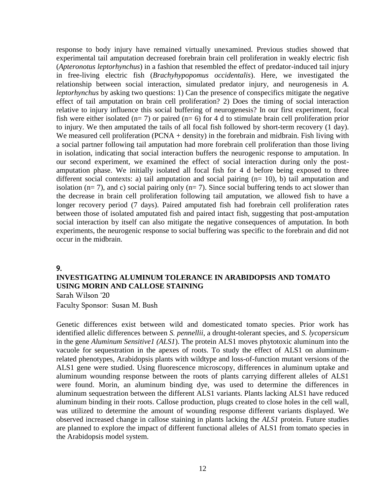response to body injury have remained virtually unexamined. Previous studies showed that experimental tail amputation decreased forebrain brain cell proliferation in weakly electric fish (*Apteronotus leptorhynchus*) in a fashion that resembled the effect of predator-induced tail injury in free-living electric fish (*Brachyhypopomus occidentalis*). Here, we investigated the relationship between social interaction, simulated predator injury, and neurogenesis in *A. leptorhynchus* by asking two questions: 1) Can the presence of conspecifics mitigate the negative effect of tail amputation on brain cell proliferation? 2) Does the timing of social interaction relative to injury influence this social buffering of neurogenesis? In our first experiment, focal fish were either isolated ( $n= 7$ ) or paired ( $n= 6$ ) for 4 d to stimulate brain cell proliferation prior to injury. We then amputated the tails of all focal fish followed by short-term recovery (1 day). We measured cell proliferation (PCNA  $+$  density) in the forebrain and midbrain. Fish living with a social partner following tail amputation had more forebrain cell proliferation than those living in isolation, indicating that social interaction buffers the neurogenic response to amputation. In our second experiment, we examined the effect of social interaction during only the postamputation phase. We initially isolated all focal fish for 4 d before being exposed to three different social contexts: a) tail amputation and social pairing  $(n= 10)$ , b) tail amputation and isolation ( $n= 7$ ), and c) social pairing only ( $n= 7$ ). Since social buffering tends to act slower than the decrease in brain cell proliferation following tail amputation, we allowed fish to have a longer recovery period (7 days). Paired amputated fish had forebrain cell proliferation rates between those of isolated amputated fish and paired intact fish, suggesting that post-amputation social interaction by itself can also mitigate the negative consequences of amputation. In both experiments, the neurogenic response to social buffering was specific to the forebrain and did not occur in the midbrain.

#### 9.

## **INVESTIGATING ALUMINUM TOLERANCE IN ARABIDOPSIS AND TOMATO USING MORIN AND CALLOSE STAINING**

Sarah Wilson '20 Faculty Sponsor: Susan M. Bush

Genetic differences exist between wild and domesticated tomato species. Prior work has identified allelic differences between *S. pennellii*, a drought-tolerant species, and *S. lycopersicum*  in the gene *Aluminum Sensitive1 (ALS1*). The protein ALS1 moves phytotoxic aluminum into the vacuole for sequestration in the apexes of roots. To study the effect of ALS1 on aluminumrelated phenotypes, Arabidopsis plants with wildtype and loss-of-function mutant versions of the ALS1 gene were studied. Using fluorescence microscopy, differences in aluminum uptake and aluminum wounding response between the roots of plants carrying different alleles of ALS1 were found. Morin, an aluminum binding dye, was used to determine the differences in aluminum sequestration between the different ALS1 variants. Plants lacking ALS1 have reduced aluminum binding in their roots. Callose production, plugs created to close holes in the cell wall, was utilized to determine the amount of wounding response different variants displayed. We observed increased change in callose staining in plants lacking the *ALS1* protein. Future studies are planned to explore the impact of different functional alleles of ALS1 from tomato species in the Arabidopsis model system.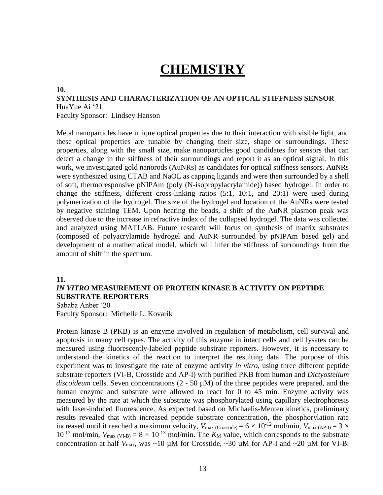## **CHEMISTRY**

#### **10.**

#### **SYNTHESIS AND CHARACTERIZATION OF AN OPTICAL STIFFNESS SENSOR** HuaYue Ai '21 Faculty Sponsor: Lindsey Hanson

Metal nanoparticles have unique optical properties due to their interaction with visible light, and these optical properties are tunable by changing their size, shape or surroundings. These properties, along with the small size, make nanoparticles good candidates for sensors that can detect a change in the stiffness of their surroundings and report it as an optical signal. In this work, we investigated gold nanorods (AuNRs) as candidates for optical stiffness sensors. AuNRs were synthesized using CTAB and NaOL as capping ligands and were then surrounded by a shell of soft, thermoresponsive pNIPAm (poly (N-isopropylacrylamide)) based hydrogel. In order to change the stiffness, different cross-linking ratios  $(5:1, 10:1, 10:1)$  were used during polymerization of the hydrogel. The size of the hydrogel and location of the AuNRs were tested by negative staining TEM. Upon heating the beads, a shift of the AuNR plasmon peak was observed due to the increase in refractive index of the collapsed hydrogel. The data was collected and analyzed using MATLAB. Future research will focus on synthesis of matrix substrates (composed of polyacrylamide hydrogel and AuNR surrounded by pNIPAm based gel) and development of a mathematical model, which will infer the stiffness of surroundings from the amount of shift in the spectrum.

#### **11.**

### *IN VITRO* **MEASUREMENT OF PROTEIN KINASE B ACTIVITY ON PEPTIDE SUBSTRATE REPORTERS**

Sababa Anber '20 Faculty Sponsor: Michelle L. Kovarik

Protein kinase B (PKB) is an enzyme involved in regulation of metabolism, cell survival and apoptosis in many cell types. The activity of this enzyme in intact cells and cell lysates can be measured using fluorescently-labeled peptide substrate reporters. However, it is necessary to understand the kinetics of the reaction to interpret the resulting data. The purpose of this experiment was to investigate the rate of enzyme activity *in vitro*, using three different peptide substrate reporters (VI-B, Crosstide and AP-I) with purified PKB from human and *Dictyostelium discoideum* cells. Seven concentrations (2 - 50 µM) of the three peptides were prepared, and the human enzyme and substrate were allowed to react for 0 to 45 min. Enzyme activity was measured by the rate at which the substrate was phosphorylated using capillary electrophoresis with laser-induced fluorescence. As expected based on Michaelis-Menten kinetics, preliminary results revealed that with increased peptide substrate concentration, the phosphorylation rate increased until it reached a maximum velocity,  $V_{\text{max (Crossside)}} = 6 \times 10^{-12} \text{ mol/min}$ ,  $V_{\text{max (AP-I)}} = 3 \times$  $10^{-12}$  mol/min,  $V_{\text{max (VI-B)}} = 8 \times 10^{-13}$  mol/min. The  $K_M$  value, which corresponds to the substrate concentration at half  $V_{\text{max}}$ , was  $\sim 10 \mu \text{M}$  for Crosstide,  $\sim 30 \mu \text{M}$  for AP-I and  $\sim 20 \mu \text{M}$  for VI-B.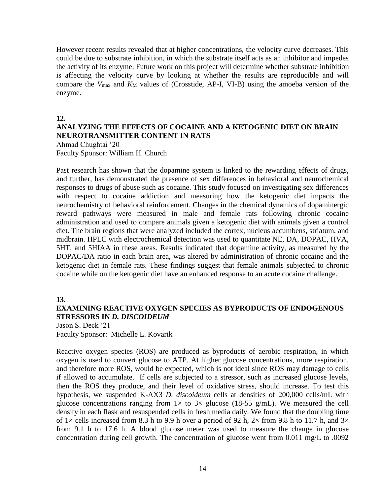However recent results revealed that at higher concentrations, the velocity curve decreases. This could be due to substrate inhibition, in which the substrate itself acts as an inhibitor and impedes the activity of its enzyme. Future work on this project will determine whether substrate inhibition is affecting the velocity curve by looking at whether the results are reproducible and will compare the  $V_{\text{max}}$  and  $K_M$  values of (Crosstide, AP-I, VI-B) using the amoeba version of the enzyme.

#### **12.**

### **ANALYZING THE EFFECTS OF COCAINE AND A KETOGENIC DIET ON BRAIN NEUROTRANSMITTER CONTENT IN RATS**

Ahmad Chughtai '20 Faculty Sponsor: William H. Church

Past research has shown that the dopamine system is linked to the rewarding effects of drugs, and further, has demonstrated the presence of sex differences in behavioral and neurochemical responses to drugs of abuse such as cocaine. This study focused on investigating sex differences with respect to cocaine addiction and measuring how the ketogenic diet impacts the neurochemistry of behavioral reinforcement. Changes in the chemical dynamics of dopaminergic reward pathways were measured in male and female rats following chronic cocaine administration and used to compare animals given a ketogenic diet with animals given a control diet. The brain regions that were analyzed included the cortex, nucleus accumbens, striatum, and midbrain. HPLC with electrochemical detection was used to quantitate NE, DA, DOPAC, HVA, 5HT, and 5HIAA in these areas. Results indicated that dopamine activity, as measured by the DOPAC/DA ratio in each brain area, was altered by administration of chronic cocaine and the ketogenic diet in female rats. These findings suggest that female animals subjected to chronic cocaine while on the ketogenic diet have an enhanced response to an acute cocaine challenge.

**13.**

### **EXAMINING REACTIVE OXYGEN SPECIES AS BYPRODUCTS OF ENDOGENOUS STRESSORS IN** *D. DISCOIDEUM*

Jason S. Deck '21 Faculty Sponsor: Michelle L. Kovarik

Reactive oxygen species (ROS) are produced as byproducts of aerobic respiration, in which oxygen is used to convert glucose to ATP. At higher glucose concentrations, more respiration, and therefore more ROS, would be expected, which is not ideal since ROS may damage to cells if allowed to accumulate. If cells are subjected to a stressor, such as increased glucose levels, then the ROS they produce, and their level of oxidative stress, should increase. To test this hypothesis, we suspended K-AX3 *D. discoideum* cells at densities of 200,000 cells/mL with glucose concentrations ranging from  $1\times$  to  $3\times$  glucose (18-55 g/mL). We measured the cell density in each flask and resuspended cells in fresh media daily. We found that the doubling time of  $1\times$  cells increased from 8.3 h to 9.9 h over a period of 92 h,  $2\times$  from 9.8 h to 11.7 h, and  $3\times$ from 9.1 h to 17.6 h. A blood glucose meter was used to measure the change in glucose concentration during cell growth. The concentration of glucose went from 0.011 mg/L to .0092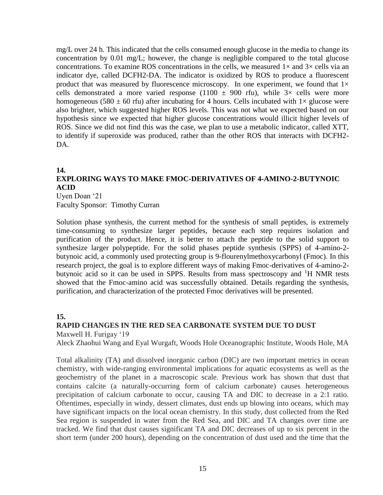mg/L over 24 h. This indicated that the cells consumed enough glucose in the media to change its concentration by 0.01 mg/L; however, the change is negligible compared to the total glucose concentrations. To examine ROS concentrations in the cells, we measured  $1\times$  and  $3\times$  cells via an indicator dye, called DCFH2-DA. The indicator is oxidized by ROS to produce a fluorescent product that was measured by fluorescence microscopy. In one experiment, we found that  $1\times$ cells demonstrated a more varied response (1100  $\pm$  900 rfu), while 3× cells were more homogeneous (580  $\pm$  60 rfu) after incubating for 4 hours. Cells incubated with  $1\times$  glucose were also brighter, which suggested higher ROS levels. This was not what we expected based on our hypothesis since we expected that higher glucose concentrations would illicit higher levels of ROS. Since we did not find this was the case, we plan to use a metabolic indicator, called XTT, to identify if superoxide was produced, rather than the other ROS that interacts with DCFH2- DA.

## **14.**

## **EXPLORING WAYS TO MAKE FMOC-DERIVATIVES OF 4-AMINO-2-BUTYNOIC ACID**

Uyen Doan '21 Faculty Sponsor: Timothy Curran

Solution phase synthesis, the current method for the synthesis of small peptides, is extremely time-consuming to synthesize larger peptides, because each step requires isolation and purification of the product. Hence, it is better to attach the peptide to the solid support to synthesize larger polypeptide. For the solid phases peptide synthesis (SPPS) of 4-amino-2 butynoic acid, a commonly used protecting group is 9-flourenylmethoxycarbonyl (Fmoc). In this research project, the goal is to explore different ways of making Fmoc-derivatives of 4-amino-2 butynoic acid so it can be used in SPPS. Results from mass spectroscopy and  ${}^{1}H$  NMR tests showed that the Fmoc-amino acid was successfully obtained. Details regarding the synthesis, purification, and characterization of the protected Fmoc derivatives will be presented.

### **15.**

#### **RAPID CHANGES IN THE RED SEA CARBONATE SYSTEM DUE TO DUST** Maxwell H. Furigay '19

Aleck Zhaohui Wang and Eyal Wurgaft, Woods Hole Oceanographic Institute, Woods Hole, MA

Total alkalinity (TA) and dissolved inorganic carbon (DIC) are two important metrics in ocean chemistry, with wide-ranging environmental implications for aquatic ecosystems as well as the geochemistry of the planet in a macroscopic scale. Previous work has shown that dust that contains calcite (a naturally-occurring form of calcium carbonate) causes heterogeneous precipitation of calcium carbonate to occur, causing TA and DIC to decrease in a 2:1 ratio. Oftentimes, especially in windy, dessert climates, dust ends up blowing into oceans, which may have significant impacts on the local ocean chemistry. In this study, dust collected from the Red Sea region is suspended in water from the Red Sea, and DIC and TA changes over time are tracked. We find that dust causes significant TA and DIC decreases of up to six percent in the short term (under 200 hours), depending on the concentration of dust used and the time that the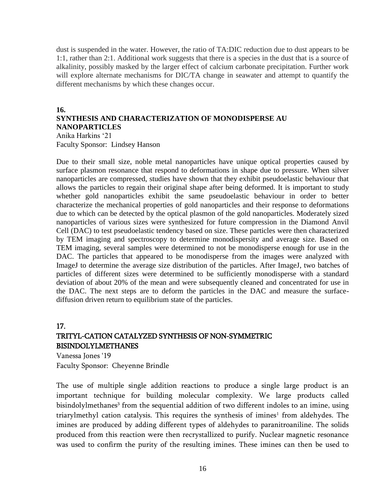dust is suspended in the water. However, the ratio of TA:DIC reduction due to dust appears to be 1:1, rather than 2:1. Additional work suggests that there is a species in the dust that is a source of alkalinity, possibly masked by the larger effect of calcium carbonate precipitation. Further work will explore alternate mechanisms for DIC/TA change in seawater and attempt to quantify the different mechanisms by which these changes occur.

#### **16.**

## **SYNTHESIS AND CHARACTERIZATION OF MONODISPERSE AU NANOPARTICLES**

Anika Harkins '21 Faculty Sponsor: Lindsey Hanson

Due to their small size, noble metal nanoparticles have unique optical properties caused by surface plasmon resonance that respond to deformations in shape due to pressure. When silver nanoparticles are compressed, studies have shown that they exhibit pseudoelastic behaviour that allows the particles to regain their original shape after being deformed. It is important to study whether gold nanoparticles exhibit the same pseudoelastic behaviour in order to better characterize the mechanical properties of gold nanoparticles and their response to deformations due to which can be detected by the optical plasmon of the gold nanoparticles. Moderately sized nanoparticles of various sizes were synthesized for future compression in the Diamond Anvil Cell (DAC) to test pseudoelastic tendency based on size. These particles were then characterized by TEM imaging and spectroscopy to determine monodispersity and average size. Based on TEM imaging, several samples were determined to not be monodisperse enough for use in the DAC. The particles that appeared to be monodisperse from the images were analyzed with ImageJ to determine the average size distribution of the particles. After ImageJ, two batches of particles of different sizes were determined to be sufficiently monodisperse with a standard deviation of about 20% of the mean and were subsequently cleaned and concentrated for use in the DAC. The next steps are to deform the particles in the DAC and measure the surfacediffusion driven return to equilibrium state of the particles.

## 17. TRITYL-CATION CATALYZED SYNTHESIS OF NON-SYMMETRIC BISINDOLYLMETHANES

Vanessa Jones '19 Faculty Sponsor: Cheyenne Brindle

The use of multiple single addition reactions to produce a single large product is an important technique for building molecular complexity. We large products called bisindolylmethanes<sup>3</sup> from the sequential addition of two different indoles to an imine, using triarylmethyl cation catalysis. This requires the synthesis of imines<sup>1</sup> from aldehydes. The imines are produced by adding different types of aldehydes to paranitroaniline. The solids produced from this reaction were then recrystallized to purify. Nuclear magnetic resonance was used to confirm the purity of the resulting imines. These imines can then be used to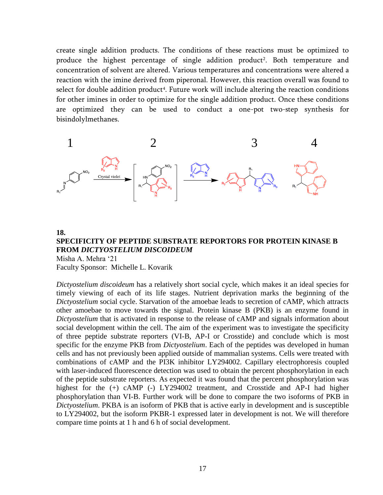create single addition products. The conditions of these reactions must be optimized to produce the highest percentage of single addition product<sup>2</sup>. Both temperature and concentration of solvent are altered. Various temperatures and concentrations were altered a reaction with the imine derived from piperonal. However, this reaction overall was found to select for double addition product<sup>4</sup>. Future work will include altering the reaction conditions for other imines in order to optimize for the single addition product. Once these conditions are optimized they can be used to conduct a one-pot two-step synthesis for bisindolylmethanes.



## **18. SPECIFICITY OF PEPTIDE SUBSTRATE REPORTORS FOR PROTEIN KINASE B FROM** *DICTYOSTELIUM DISCOIDEUM*

Misha A. Mehra '21 Faculty Sponsor: Michelle L. Kovarik

*Dictyostelium discoideum* has a relatively short social cycle, which makes it an ideal species for timely viewing of each of its life stages. Nutrient deprivation marks the beginning of the *Dictyostelium* social cycle. Starvation of the amoebae leads to secretion of cAMP, which attracts other amoebae to move towards the signal. Protein kinase B (PKB) is an enzyme found in *Dictyostelium* that is activated in response to the release of cAMP and signals information about social development within the cell. The aim of the experiment was to investigate the specificity of three peptide substrate reporters (VI-B, AP-I or Crosstide) and conclude which is most specific for the enzyme PKB from *Dictyostelium*. Each of the peptides was developed in human cells and has not previously been applied outside of mammalian systems. Cells were treated with combinations of cAMP and the PI3K inhibitor LY294002. Capillary electrophoresis coupled with laser-induced fluorescence detection was used to obtain the percent phosphorylation in each of the peptide substrate reporters. As expected it was found that the percent phosphorylation was highest for the (+) cAMP (-) LY294002 treatment, and Crosstide and AP-I had higher phosphorylation than VI-B. Further work will be done to compare the two isoforms of PKB in *Dictyostelium*. PKBA is an isoform of PKB that is active early in development and is susceptible to LY294002, but the isoform PKBR-1 expressed later in development is not. We will therefore compare time points at 1 h and 6 h of social development.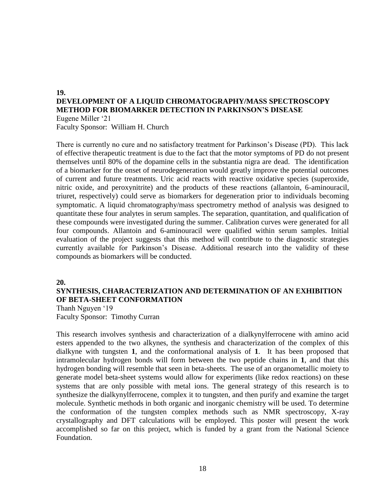#### **19. DEVELOPMENT OF A LIQUID CHROMATOGRAPHY/MASS SPECTROSCOPY METHOD FOR BIOMARKER DETECTION IN PARKINSON'S DISEASE** Eugene Miller '21

Faculty Sponsor: William H. Church

There is currently no cure and no satisfactory treatment for Parkinson's Disease (PD). This lack of effective therapeutic treatment is due to the fact that the motor symptoms of PD do not present themselves until 80% of the dopamine cells in the substantia nigra are dead. The identification of a biomarker for the onset of neurodegeneration would greatly improve the potential outcomes of current and future treatments. Uric acid reacts with reactive oxidative species (superoxide, nitric oxide, and peroxynitrite) and the products of these reactions (allantoin, 6-aminouracil, triuret, respectively) could serve as biomarkers for degeneration prior to individuals becoming symptomatic. A liquid chromatography/mass spectrometry method of analysis was designed to quantitate these four analytes in serum samples. The separation, quantitation, and qualification of these compounds were investigated during the summer. Calibration curves were generated for all four compounds. Allantoin and 6-aminouracil were qualified within serum samples. Initial evaluation of the project suggests that this method will contribute to the diagnostic strategies currently available for Parkinson's Disease. Additional research into the validity of these compounds as biomarkers will be conducted.

#### **20.**

## **SYNTHESIS, CHARACTERIZATION AND DETERMINATION OF AN EXHIBITION OF BETA-SHEET CONFORMATION**

Thanh Nguyen '19 Faculty Sponsor: Timothy Curran

This research involves synthesis and characterization of a dialkynylferrocene with amino acid esters appended to the two alkynes, the synthesis and characterization of the complex of this dialkyne with tungsten **1**, and the conformational analysis of **1**. It has been proposed that intramolecular hydrogen bonds will form between the two peptide chains in **1**, and that this hydrogen bonding will resemble that seen in beta-sheets. The use of an organometallic moiety to generate model beta-sheet systems would allow for experiments (like redox reactions) on these systems that are only possible with metal ions. The general strategy of this research is to synthesize the dialkynylferrocene, complex it to tungsten, and then purify and examine the target molecule. Synthetic methods in both organic and inorganic chemistry will be used. To determine the conformation of the tungsten complex methods such as NMR spectroscopy, X-ray crystallography and DFT calculations will be employed. This poster will present the work accomplished so far on this project, which is funded by a grant from the National Science Foundation.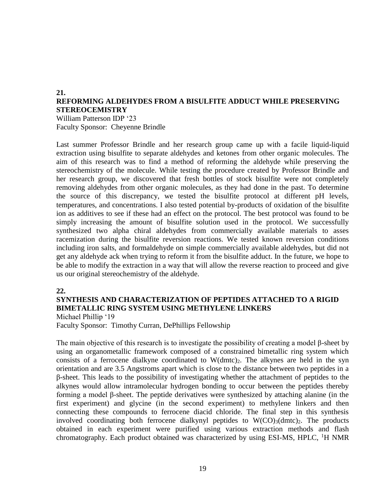#### **21. REFORMING ALDEHYDES FROM A BISULFITE ADDUCT WHILE PRESERVING STEREOCEMISTRY**

William Patterson IDP '23 Faculty Sponsor: Cheyenne Brindle

Last summer Professor Brindle and her research group came up with a facile liquid-liquid extraction using bisulfite to separate aldehydes and ketones from other organic molecules. The aim of this research was to find a method of reforming the aldehyde while preserving the stereochemistry of the molecule. While testing the procedure created by Professor Brindle and her research group, we discovered that fresh bottles of stock bisulfite were not completely removing aldehydes from other organic molecules, as they had done in the past. To determine the source of this discrepancy, we tested the bisulfite protocol at different pH levels, temperatures, and concentrations. I also tested potential by-products of oxidation of the bisulfite ion as additives to see if these had an effect on the protocol. The best protocol was found to be simply increasing the amount of bisulfite solution used in the protocol. We successfully synthesized two alpha chiral aldehydes from commercially available materials to asses racemization during the bisulfite reversion reactions. We tested known reversion conditions including iron salts, and formaldehyde on simple commercially available aldehydes, but did not get any aldehyde ack when trying to reform it from the bisulfite adduct. In the future, we hope to be able to modify the extraction in a way that will allow the reverse reaction to proceed and give us our original stereochemistry of the aldehyde.

#### **22.**

## **SYNTHESIS AND CHARACTERIZATION OF PEPTIDES ATTACHED TO A RIGID BIMETALLIC RING SYSTEM USING METHYLENE LINKERS**

Michael Phillip '19

Faculty Sponsor: Timothy Curran, DePhillips Fellowship

The main objective of this research is to investigate the possibility of creating a model  $\beta$ -sheet by using an organometallic framework composed of a constrained bimetallic ring system which consists of a ferrocene dialkyne coordinated to  $W(dmc)$ . The alkynes are held in the syn orientation and are 3.5 Angstroms apart which is close to the distance between two peptides in a β-sheet. This leads to the possibility of investigating whether the attachment of peptides to the alkynes would allow intramolecular hydrogen bonding to occur between the peptides thereby forming a model β-sheet. The peptide derivatives were synthesized by attaching alanine (in the first experiment) and glycine (in the second experiment) to methylene linkers and then connecting these compounds to ferrocene diacid chloride. The final step in this synthesis involved coordinating both ferrocene dialkynyl peptides to  $W(CO)_{3}(dmc)_{2}$ . The products obtained in each experiment were purified using various extraction methods and flash chromatography. Each product obtained was characterized by using ESI-MS, HPLC,  ${}^{1}$ H NMR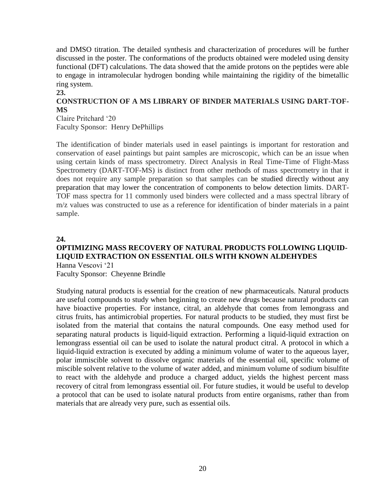and DMSO titration. The detailed synthesis and characterization of procedures will be further discussed in the poster. The conformations of the products obtained were modeled using density functional (DFT) calculations. The data showed that the amide protons on the peptides were able to engage in intramolecular hydrogen bonding while maintaining the rigidity of the bimetallic ring system. **23.**

## **CONSTRUCTION OF A MS LIBRARY OF BINDER MATERIALS USING DART-TOF-MS**

Claire Pritchard '20 Faculty Sponsor: Henry DePhillips

The identification of binder materials used in easel paintings is important for restoration and conservation of easel paintings but paint samples are microscopic, which can be an issue when using certain kinds of mass spectrometry. Direct Analysis in Real Time-Time of Flight-Mass Spectrometry (DART-TOF-MS) is distinct from other methods of mass spectrometry in that it does not require any sample preparation so that samples can be studied directly without any preparation that may lower the concentration of components to below detection limits. DART-TOF mass spectra for 11 commonly used binders were collected and a mass spectral library of m/z values was constructed to use as a reference for identification of binder materials in a paint sample.

#### **24.**

#### **OPTIMIZING MASS RECOVERY OF NATURAL PRODUCTS FOLLOWING LIQUID-LIQUID EXTRACTION ON ESSENTIAL OILS WITH KNOWN ALDEHYDES** Hanna Vescovi '21

Faculty Sponsor: Cheyenne Brindle

Studying natural products is essential for the creation of new pharmaceuticals. Natural products are useful compounds to study when beginning to create new drugs because natural products can have bioactive properties. For instance, citral, an aldehyde that comes from lemongrass and citrus fruits, has antimicrobial properties. For natural products to be studied, they must first be isolated from the material that contains the natural compounds. One easy method used for separating natural products is liquid-liquid extraction. Performing a liquid-liquid extraction on lemongrass essential oil can be used to isolate the natural product citral. A protocol in which a liquid-liquid extraction is executed by adding a minimum volume of water to the aqueous layer, polar immiscible solvent to dissolve organic materials of the essential oil, specific volume of miscible solvent relative to the volume of water added, and minimum volume of sodium bisulfite to react with the aldehyde and produce a charged adduct, yields the highest percent mass recovery of citral from lemongrass essential oil. For future studies, it would be useful to develop a protocol that can be used to isolate natural products from entire organisms, rather than from materials that are already very pure, such as essential oils.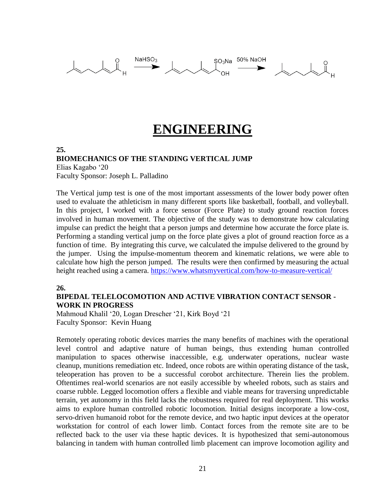

## **ENGINEERING**

#### **25. BIOMECHANICS OF THE STANDING VERTICAL JUMP** Elias Kagabo '20

Faculty Sponsor: Joseph L. Palladino

The Vertical jump test is one of the most important assessments of the lower body power often used to evaluate the athleticism in many different sports like basketball, football, and volleyball. In this project, I worked with a force sensor (Force Plate) to study ground reaction forces involved in human movement. The objective of the study was to demonstrate how calculating impulse can predict the height that a person jumps and determine how accurate the force plate is. Performing a standing vertical jump on the force plate gives a plot of ground reaction force as a function of time. By integrating this curve, we calculated the impulse delivered to the ground by the jumper. Using the impulse-momentum theorem and kinematic relations, we were able to calculate how high the person jumped. The results were then confirmed by measuring the actual height reached using a camera.<https://www.whatsmyvertical.com/how-to-measure-vertical/>

#### **26.**

#### **BIPEDAL TELELOCOMOTION AND ACTIVE VIBRATION CONTACT SENSOR - WORK IN PROGRESS**

Mahmoud Khalil '20, Logan Drescher '21, Kirk Boyd '21 Faculty Sponsor: Kevin Huang

Remotely operating robotic devices marries the many benefits of machines with the operational level control and adaptive nature of human beings, thus extending human controlled manipulation to spaces otherwise inaccessible, e.g. underwater operations, nuclear waste cleanup, munitions remediation etc. Indeed, once robots are within operating distance of the task, teleoperation has proven to be a successful corobot architecture. Therein lies the problem. Oftentimes real-world scenarios are not easily accessible by wheeled robots, such as stairs and coarse rubble. Legged locomotion offers a flexible and viable means for traversing unpredictable terrain, yet autonomy in this field lacks the robustness required for real deployment. This works aims to explore human controlled robotic locomotion. Initial designs incorporate a low-cost, servo-driven humanoid robot for the remote device, and two haptic input devices at the operator workstation for control of each lower limb. Contact forces from the remote site are to be reflected back to the user via these haptic devices. It is hypothesized that semi-autonomous balancing in tandem with human controlled limb placement can improve locomotion agility and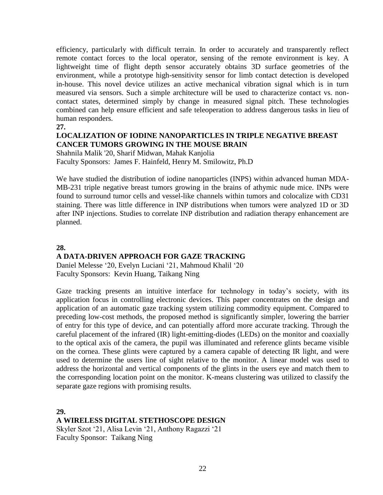efficiency, particularly with difficult terrain. In order to accurately and transparently reflect remote contact forces to the local operator, sensing of the remote environment is key. A lightweight time of flight depth sensor accurately obtains 3D surface geometries of the environment, while a prototype high-sensitivity sensor for limb contact detection is developed in-house. This novel device utilizes an active mechanical vibration signal which is in turn measured via sensors. Such a simple architecture will be used to characterize contact vs. noncontact states, determined simply by change in measured signal pitch. These technologies combined can help ensure efficient and safe teleoperation to address dangerous tasks in lieu of human responders.

#### **27.**

### **LOCALIZATION OF IODINE NANOPARTICLES IN TRIPLE NEGATIVE BREAST CANCER TUMORS GROWING IN THE MOUSE BRAIN**

Shahnila Malik '20, Sharif Midwan, Mahak Kanjolia Faculty Sponsors: James F. Hainfeld, Henry M. Smilowitz, Ph.D

We have studied the distribution of iodine nanoparticles (INPS) within advanced human MDA-MB-231 triple negative breast tumors growing in the brains of athymic nude mice. INPs were found to surround tumor cells and vessel-like channels within tumors and colocalize with CD31 staining. There was little difference in INP distributions when tumors were analyzed 1D or 3D after INP injections. Studies to correlate INP distribution and radiation therapy enhancement are planned.

#### **28.**

#### **A DATA-DRIVEN APPROACH FOR GAZE TRACKING**

Daniel Melesse '20, Evelyn Luciani '21, Mahmoud Khalil '20 Faculty Sponsors: Kevin Huang, Taikang Ning

Gaze tracking presents an intuitive interface for technology in today's society, with its application focus in controlling electronic devices. This paper concentrates on the design and application of an automatic gaze tracking system utilizing commodity equipment. Compared to preceding low-cost methods, the proposed method is significantly simpler, lowering the barrier of entry for this type of device, and can potentially afford more accurate tracking. Through the careful placement of the infrared (IR) light-emitting-diodes (LEDs) on the monitor and coaxially to the optical axis of the camera, the pupil was illuminated and reference glints became visible on the cornea. These glints were captured by a camera capable of detecting IR light, and were used to determine the users line of sight relative to the monitor. A linear model was used to address the horizontal and vertical components of the glints in the users eye and match them to the corresponding location point on the monitor. K-means clustering was utilized to classify the separate gaze regions with promising results.

**29.**

### **A WIRELESS DIGITAL STETHOSCOPE DESIGN**

Skyler Szot '21, Alisa Levin '21, Anthony Ragazzi '21 Faculty Sponsor: Taikang Ning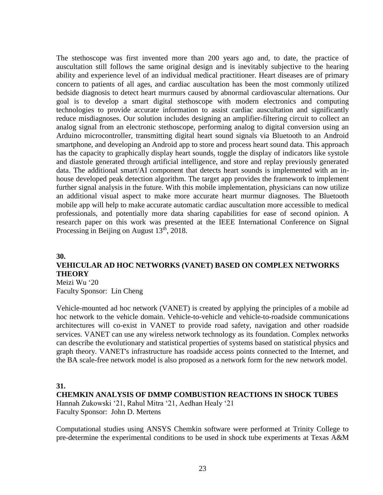The stethoscope was first invented more than 200 years ago and, to date, the practice of auscultation still follows the same original design and is inevitably subjective to the hearing ability and experience level of an individual medical practitioner. Heart diseases are of primary concern to patients of all ages, and cardiac auscultation has been the most commonly utilized bedside diagnosis to detect heart murmurs caused by abnormal cardiovascular alternations. Our goal is to develop a smart digital stethoscope with modern electronics and computing technologies to provide accurate information to assist cardiac auscultation and significantly reduce misdiagnoses. Our solution includes designing an amplifier-filtering circuit to collect an analog signal from an electronic stethoscope, performing analog to digital conversion using an Arduino microcontroller, transmitting digital heart sound signals via Bluetooth to an Android smartphone, and developing an Android app to store and process heart sound data. This approach has the capacity to graphically display heart sounds, toggle the display of indicators like systole and diastole generated through artificial intelligence, and store and replay previously generated data. The additional smart/AI component that detects heart sounds is implemented with an inhouse developed peak detection algorithm. The target app provides the framework to implement further signal analysis in the future. With this mobile implementation, physicians can now utilize an additional visual aspect to make more accurate heart murmur diagnoses. The Bluetooth mobile app will help to make accurate automatic cardiac auscultation more accessible to medical professionals, and potentially more data sharing capabilities for ease of second opinion. A research paper on this work was presented at the IEEE International Conference on Signal Processing in Beijing on August 13<sup>th</sup>, 2018.

#### **30.**

### **VEHICULAR AD HOC NETWORKS (VANET) BASED ON COMPLEX NETWORKS THEORY**

Meizi Wu '20 Faculty Sponsor: Lin Cheng

Vehicle-mounted ad hoc network (VANET) is created by applying the principles of a mobile ad hoc network to the vehicle domain. Vehicle-to-vehicle and vehicle-to-roadside communications architectures will co-exist in VANET to provide road safety, navigation and other roadside services. VANET can use any wireless network technology as its foundation. Complex networks can describe the evolutionary and statistical properties of systems based on statistical physics and graph theory. VANET's infrastructure has roadside access points connected to the Internet, and the BA scale-free network model is also proposed as a network form for the new network model.

#### **31.**

#### **CHEMKIN ANALYSIS OF DMMP COMBUSTION REACTIONS IN SHOCK TUBES**

Hannah Zukowski '21, Rahul Mitra '21, Aedhan Healy '21 Faculty Sponsor: John D. Mertens

Computational studies using ANSYS Chemkin software were performed at Trinity College to pre-determine the experimental conditions to be used in shock tube experiments at Texas A&M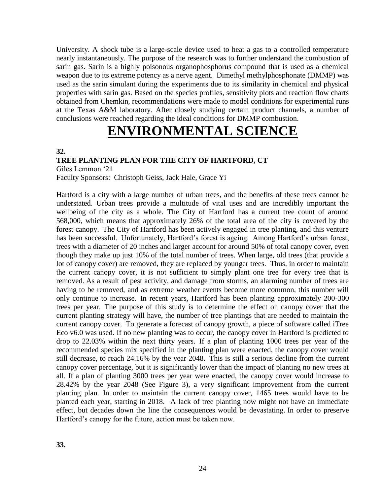University. A shock tube is a large-scale device used to heat a gas to a controlled temperature nearly instantaneously. The purpose of the research was to further understand the combustion of sarin gas. Sarin is a highly poisonous organophosphorus compound that is used as a chemical weapon due to its extreme potency as a nerve agent. Dimethyl methylphosphonate (DMMP) was used as the sarin simulant during the experiments due to its similarity in chemical and physical properties with sarin gas. Based on the species profiles, sensitivity plots and reaction flow charts obtained from Chemkin, recommendations were made to model conditions for experimental runs at the Texas A&M laboratory. After closely studying certain product channels, a number of conclusions were reached regarding the ideal conditions for DMMP combustion.

## **ENVIRONMENTAL SCIEN**

#### **32.**

#### **TREE PLANTING PLAN FOR THE CITY OF HARTFORD, CT**

Giles Lemmon '21

Faculty Sponsors: Christoph Geiss, Jack Hale, Grace Yi

Hartford is a city with a large number of urban trees, and the benefits of these trees cannot be understated. Urban trees provide a multitude of vital uses and are incredibly important the wellbeing of the city as a whole. The City of Hartford has a current tree count of around 568,000, which means that approximately 26% of the total area of the city is covered by the forest canopy. The City of Hartford has been actively engaged in tree planting, and this venture has been successful. Unfortunately, Hartford's forest is ageing. Among Hartford's urban forest, trees with a diameter of 20 inches and larger account for around 50% of total canopy cover, even though they make up just 10% of the total number of trees. When large, old trees (that provide a lot of canopy cover) are removed, they are replaced by younger trees. Thus, in order to maintain the current canopy cover, it is not sufficient to simply plant one tree for every tree that is removed. As a result of pest activity, and damage from storms, an alarming number of trees are having to be removed, and as extreme weather events become more common, this number will only continue to increase. In recent years, Hartford has been planting approximately 200-300 trees per year. The purpose of this study is to determine the effect on canopy cover that the current planting strategy will have, the number of tree plantings that are needed to maintain the current canopy cover. To generate a forecast of canopy growth, a piece of software called iTree Eco v6.0 was used. If no new planting was to occur, the canopy cover in Hartford is predicted to drop to 22.03% within the next thirty years. If a plan of planting 1000 trees per year of the recommended species mix specified in the planting plan were enacted, the canopy cover would still decrease, to reach 24.16% by the year 2048. This is still a serious decline from the current canopy cover percentage, but it is significantly lower than the impact of planting no new trees at all. If a plan of planting 3000 trees per year were enacted, the canopy cover would increase to 28.42% by the year 2048 (See Figure 3), a very significant improvement from the current planting plan. In order to maintain the current canopy cover, 1465 trees would have to be planted each year, starting in 2018. A lack of tree planting now might not have an immediate effect, but decades down the line the consequences would be devastating. In order to preserve Hartford's canopy for the future, action must be taken now.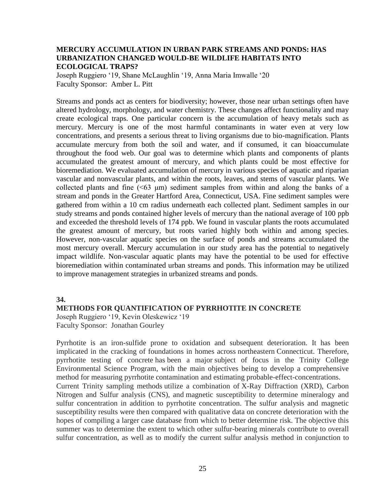#### **MERCURY ACCUMULATION IN URBAN PARK STREAMS AND PONDS: HAS URBANIZATION CHANGED WOULD-BE WILDLIFE HABITATS INTO ECOLOGICAL TRAPS?**

Joseph Ruggiero '19, Shane McLaughlin '19, Anna Maria Imwalle '20 Faculty Sponsor: Amber L. Pitt

Streams and ponds act as centers for biodiversity; however, those near urban settings often have altered hydrology, morphology, and water chemistry. These changes affect functionality and may create ecological traps. One particular concern is the accumulation of heavy metals such as mercury. Mercury is one of the most harmful contaminants in water even at very low concentrations, and presents a serious threat to living organisms due to bio-magnification. Plants accumulate mercury from both the soil and water, and if consumed, it can bioaccumulate throughout the food web. Our goal was to determine which plants and components of plants accumulated the greatest amount of mercury, and which plants could be most effective for bioremediation. We evaluated accumulation of mercury in various species of aquatic and riparian vascular and nonvascular plants, and within the roots, leaves, and stems of vascular plants. We collected plants and fine (<63 μm) sediment samples from within and along the banks of a stream and ponds in the Greater Hartford Area, Connecticut, USA. Fine sediment samples were gathered from within a 10 cm radius underneath each collected plant. Sediment samples in our study streams and ponds contained higher levels of mercury than the national average of 100 ppb and exceeded the threshold levels of 174 ppb. We found in vascular plants the roots accumulated the greatest amount of mercury, but roots varied highly both within and among species. However, non-vascular aquatic species on the surface of ponds and streams accumulated the most mercury overall. Mercury accumulation in our study area has the potential to negatively impact wildlife. Non-vascular aquatic plants may have the potential to be used for effective bioremediation within contaminated urban streams and ponds. This information may be utilized to improve management strategies in urbanized streams and ponds.

#### **34.**

#### **METHODS FOR QUANTIFICATION OF PYRRHOTITE IN CONCRETE**

Joseph Ruggiero '19, Kevin Oleskewicz '19 Faculty Sponsor: Jonathan Gourley

Pyrrhotite is an iron-sulfide prone to oxidation and subsequent deterioration. It has been implicated in the cracking of foundations in homes across northeastern Connecticut. Therefore, pyrrhotite testing of concrete has been a major subject of focus in the Trinity College Environmental Science Program, with the main objectives being to develop a comprehensive method for measuring pyrrhotite contamination and estimating probable-effect-concentrations. Current Trinity sampling methods utilize a combination of X-Ray Diffraction (XRD), Carbon Nitrogen and Sulfur analysis (CNS), and magnetic susceptibility to determine mineralogy and sulfur concentration in addition to pyrrhotite concentration. The sulfur analysis and magnetic susceptibility results were then compared with qualitative data on concrete deterioration with the

hopes of compiling a larger case database from which to better determine risk. The objective this summer was to determine the extent to which other sulfur-bearing minerals contribute to overall sulfur concentration, as well as to modify the current sulfur analysis method in conjunction to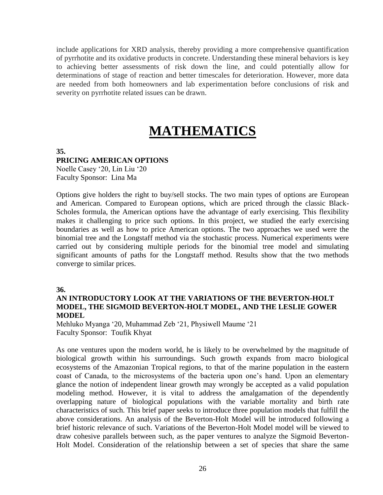include applications for XRD analysis, thereby providing a more comprehensive quantification of pyrrhotite and its oxidative products in concrete. Understanding these mineral behaviors is key to achieving better assessments of risk down the line, and could potentially allow for determinations of stage of reaction and better timescales for deterioration. However, more data are needed from both homeowners and lab experimentation before conclusions of risk and severity on pyrrhotite related issues can be drawn.

# **MATHEMATICS**

#### **35.**

#### **PRICING AMERICAN OPTIONS**

Noelle Casey '20, Lin Liu '20 Faculty Sponsor: Lina Ma

Options give holders the right to buy/sell stocks. The two main types of options are European and American. Compared to European options, which are priced through the classic Black-Scholes formula, the American options have the advantage of early exercising. This flexibility makes it challenging to price such options. In this project, we studied the early exercising boundaries as well as how to price American options. The two approaches we used were the binomial tree and the Longstaff method via the stochastic process. Numerical experiments were carried out by considering multiple periods for the binomial tree model and simulating significant amounts of paths for the Longstaff method. Results show that the two methods converge to similar prices.

#### **36.**

#### **AN INTRODUCTORY LOOK AT THE VARIATIONS OF THE BEVERTON-HOLT MODEL, THE SIGMOID BEVERTON-HOLT MODEL, AND THE LESLIE GOWER MODEL**

Mehluko Myanga '20, Muhammad Zeb '21, Physiwell Maume '21 Faculty Sponsor: Toufik Khyat

As one ventures upon the modern world, he is likely to be overwhelmed by the magnitude of biological growth within his surroundings. Such growth expands from macro biological ecosystems of the Amazonian Tropical regions, to that of the marine population in the eastern coast of Canada, to the microsystems of the bacteria upon one's hand. Upon an elementary glance the notion of independent linear growth may wrongly be accepted as a valid population modeling method. However, it is vital to address the amalgamation of the dependently overlapping nature of biological populations with the variable mortality and birth rate characteristics of such. This brief paper seeks to introduce three population models that fulfill the above considerations. An analysis of the Beverton-Holt Model will be introduced following a brief historic relevance of such. Variations of the Beverton-Holt Model model will be viewed to draw cohesive parallels between such, as the paper ventures to analyze the Sigmoid Beverton-Holt Model. Consideration of the relationship between a set of species that share the same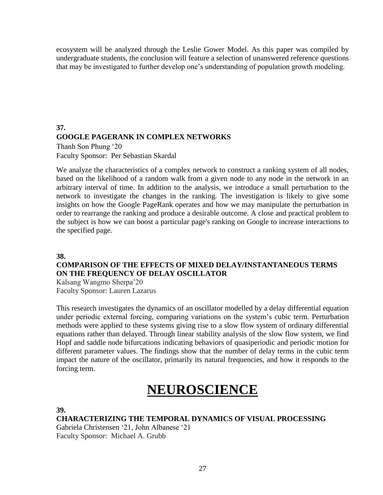ecosystem will be analyzed through the Leslie Gower Model. As this paper was compiled by undergraduate students, the conclusion will feature a selection of unanswered reference questions that may be investigated to further develop one's understanding of population growth modeling.

### **37. GOOGLE PAGERANK IN COMPLEX NETWORKS** Thanh Son Phung '20 Faculty Sponsor: Per Sebastian Skardal

We analyze the characteristics of a complex network to construct a ranking system of all nodes, based on the likelihood of a random walk from a given node to any node in the network in an arbitrary interval of time. In addition to the analysis, we introduce a small perturbation to the network to investigate the changes in the ranking. The investigation is likely to give some insights on how the Google PageRank operates and how we may manipulate the perturbation in order to rearrange the ranking and produce a desirable outcome. A close and practical problem to the subject is how we can boost a particular page's ranking on Google to increase interactions to the specified page.

#### **38.**

### **COMPARISON OF THE EFFECTS OF MIXED DELAY/INSTANTANEOUS TERMS ON THE FREQUENCY OF DELAY OSCILLATOR**

Kalsang Wangmo Sherpa'20 Faculty Sponsor: Lauren Lazarus

This research investigates the dynamics of an oscillator modelled by a delay differential equation under periodic external forcing, comparing variations on the system's cubic term. Perturbation methods were applied to these systems giving rise to a slow flow system of ordinary differential equations rather than delayed. Through linear stability analysis of the slow flow system, we find Hopf and saddle node bifurcations indicating behaviors of quasiperiodic and periodic motion for different parameter values. The findings show that the number of delay terms in the cubic term impact the nature of the oscillator, primarily its natural frequencies, and how it responds to the forcing term.

# **NEUROSCIENCE**

**39.**

**CHARACTERIZING THE TEMPORAL DYNAMICS OF VISUAL PROCESSING**

Gabriela Christensen '21, John Albanese '21 Faculty Sponsor: Michael A. Grubb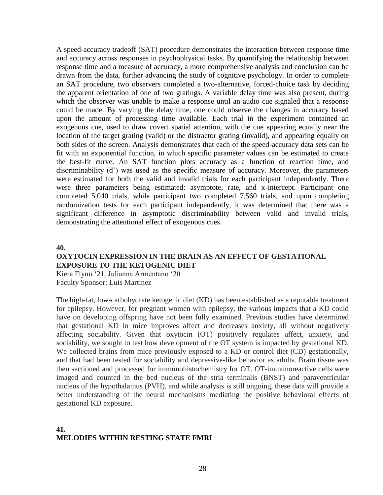A speed-accuracy tradeoff (SAT) procedure demonstrates the interaction between response time and accuracy across responses in psychophysical tasks. By quantifying the relationship between response time and a measure of accuracy, a more comprehensive analysis and conclusion can be drawn from the data, further advancing the study of cognitive psychology. In order to complete an SAT procedure, two observers completed a two-alternative, forced-choice task by deciding the apparent orientation of one of two gratings. A variable delay time was also present, during which the observer was unable to make a response until an audio cue signaled that a response could be made. By varying the delay time, one could observe the changes in accuracy based upon the amount of processing time available. Each trial in the experiment contained an exogenous cue, used to draw covert spatial attention, with the cue appearing equally near the location of the target grating (valid) or the distractor grating (invalid), and appearing equally on both sides of the screen. Analysis demonstrates that each of the speed-accuracy data sets can be fit with an exponential function, in which specific parameter values can be estimated to create the best-fit curve. An SAT function plots accuracy as a function of reaction time, and discriminability (d') was used as the specific measure of accuracy. Moreover, the parameters were estimated for both the valid and invalid trials for each participant independently. There were three parameters being estimated: asymptote, rate, and x-intercept. Participant one completed 5,040 trials, while participant two completed 7,560 trials, and upon completing randomization tests for each participant independently, it was determined that there was a significant difference in asymptotic discriminability between valid and invalid trials, demonstrating the attentional effect of exogenous cues.

**40.**

#### **OXYTOCIN EXPRESSION IN THE BRAIN AS AN EFFECT OF GESTATIONAL EXPOSURE TO THE KETOGENIC DIET**

Kiera Flynn '21, Julianna Armentano '20 Faculty Sponsor: Luis Martinez

The high-fat, low-carbohydrate ketogenic diet (KD) has been established as a reputable treatment for epilepsy. However, for pregnant women with epilepsy, the various impacts that a KD could have on developing offspring have not been fully examined. Previous studies have determined that gestational KD in mice improves affect and decreases anxiety, all without negatively affecting sociability. Given that oxytocin (OT) positively regulates affect, anxiety, and sociability, we sought to test how development of the OT system is impacted by gestational KD. We collected brains from mice previously exposed to a KD or control diet (CD) gestationally, and that had been tested for sociability and depressive-like behavior as adults. Brain tissue was then sectioned and processed for immunohistochemistry for OT. OT-immunoreactive cells were imaged and counted in the bed nucleus of the stria terminalis (BNST) and paraventricular nucleus of the hypothalamus (PVH), and while analysis is still ongoing, these data will provide a better understanding of the neural mechanisms mediating the positive behavioral effects of gestational KD exposure.

### **41. MELODIES WITHIN RESTING STATE FMRI**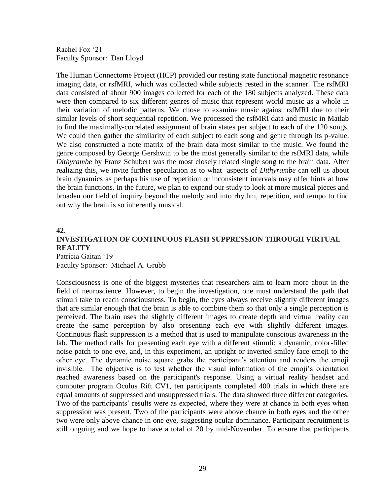Rachel Fox '21 Faculty Sponsor: Dan Lloyd

The Human Connectome Project (HCP) provided our resting state functional magnetic resonance imaging data, or rsfMRI, which was collected while subjects rested in the scanner. The rsfMRI data consisted of about 900 images collected for each of the 180 subjects analyzed. These data were then compared to six different genres of music that represent world music as a whole in their variation of melodic patterns. We chose to examine music against rsfMRI due to their similar levels of short sequential repetition. We processed the rsfMRI data and music in Matlab to find the maximally-correlated assignment of brain states per subject to each of the 120 songs. We could then gather the similarity of each subject to each song and genre through its p-value. We also constructed a note matrix of the brain data most similar to the music. We found the genre composed by George Gershwin to be the most generally similar to the rsfMRI data, while *Dithyrambe* by Franz Schubert was the most closely related single song to the brain data. After realizing this, we invite further speculation as to what aspects of *Dithyrambe* can tell us about brain dynamics as perhaps his use of repetition or inconsistent intervals may offer hints at how the brain functions. In the future, we plan to expand our study to look at more musical pieces and broaden our field of inquiry beyond the melody and into rhythm, repetition, and tempo to find out why the brain is so inherently musical.

#### **42.**

### **INVESTIGATION OF CONTINUOUS FLASH SUPPRESSION THROUGH VIRTUAL REALITY** Patricia Gaitan '19

Faculty Sponsor: Michael A. Grubb

Consciousness is one of the biggest mysteries that researchers aim to learn more about in the field of neuroscience. However, to begin the investigation, one must understand the path that stimuli take to reach consciousness. To begin, the eyes always receive slightly different images that are similar enough that the brain is able to combine them so that only a single perception is perceived. The brain uses the slightly different images to create depth and virtual reality can create the same perception by also presenting each eye with slightly different images. Continuous flash suppression is a method that is used to manipulate conscious awareness in the lab. The method calls for presenting each eye with a different stimuli: a dynamic, color-filled noise patch to one eye, and, in this experiment, an upright or inverted smiley face emoji to the other eye. The dynamic noise square grabs the participant's attention and renders the emoji invisible. The objective is to test whether the visual information of the emoji's orientation reached awareness based on the participant's response. Using a virtual reality headset and computer program Oculus Rift CV1, ten participants completed 400 trials in which there are equal amounts of suppressed and unsuppressed trials. The data showed three different categories. Two of the participants' results were as expected, where they were at chance in both eyes when suppression was present. Two of the participants were above chance in both eyes and the other two were only above chance in one eye, suggesting ocular dominance. Participant recruitment is still ongoing and we hope to have a total of 20 by mid-November. To ensure that participants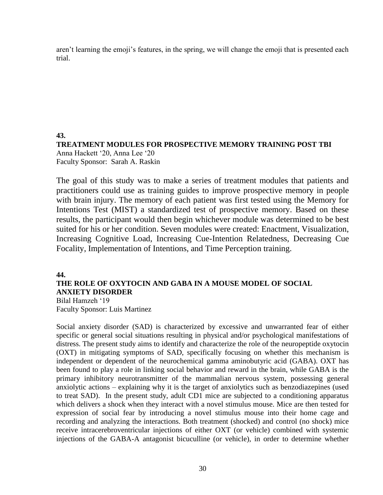aren't learning the emoji's features, in the spring, we will change the emoji that is presented each trial.

**43. TREATMENT MODULES FOR PROSPECTIVE MEMORY TRAINING POST TBI** Anna Hackett '20, Anna Lee '20 Faculty Sponsor: Sarah A. Raskin

The goal of this study was to make a series of treatment modules that patients and practitioners could use as training guides to improve prospective memory in people with brain injury. The memory of each patient was first tested using the Memory for Intentions Test (MIST) a standardized test of prospective memory. Based on these results, the participant would then begin whichever module was determined to be best suited for his or her condition. Seven modules were created: Enactment, Visualization, Increasing Cognitive Load, Increasing Cue-Intention Relatedness, Decreasing Cue Focality, Implementation of Intentions, and Time Perception training.

**44.**

## **THE ROLE OF OXYTOCIN AND GABA IN A MOUSE MODEL OF SOCIAL ANXIETY DISORDER**

Bilal Hamzeh '19 Faculty Sponsor: Luis Martinez

Social anxiety disorder (SAD) is characterized by excessive and unwarranted fear of either specific or general social situations resulting in physical and/or psychological manifestations of distress. The present study aims to identify and characterize the role of the neuropeptide oxytocin (OXT) in mitigating symptoms of SAD, specifically focusing on whether this mechanism is independent or dependent of the neurochemical gamma aminobutyric acid (GABA). OXT has been found to play a role in linking social behavior and reward in the brain, while GABA is the primary inhibitory neurotransmitter of the mammalian nervous system, possessing general anxiolytic actions – explaining why it is the target of anxiolytics such as benzodiazepines (used to treat SAD). In the present study, adult CD1 mice are subjected to a conditioning apparatus which delivers a shock when they interact with a novel stimulus mouse. Mice are then tested for expression of social fear by introducing a novel stimulus mouse into their home cage and recording and analyzing the interactions. Both treatment (shocked) and control (no shock) mice receive intracerebroventricular injections of either OXT (or vehicle) combined with systemic injections of the GABA-A antagonist bicuculline (or vehicle), in order to determine whether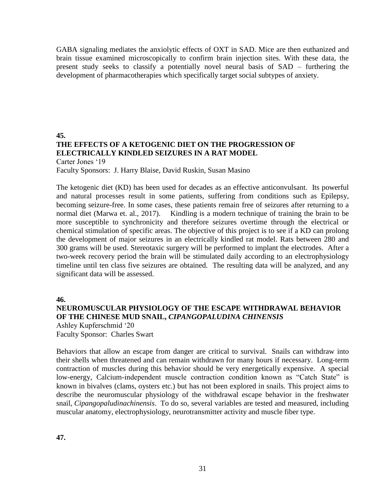GABA signaling mediates the anxiolytic effects of OXT in SAD. Mice are then euthanized and brain tissue examined microscopically to confirm brain injection sites. With these data, the present study seeks to classify a potentially novel neural basis of SAD – furthering the development of pharmacotherapies which specifically target social subtypes of anxiety.

#### **45. THE EFFECTS OF A KETOGENIC DIET ON THE PROGRESSION OF ELECTRICALLY KINDLED SEIZURES IN A RAT MODEL** Carter Jones '19 Faculty Sponsors: J. Harry Blaise, David Ruskin, Susan Masino

The ketogenic diet (KD) has been used for decades as an effective anticonvulsant. Its powerful and natural processes result in some patients, suffering from conditions such as Epilepsy, becoming seizure-free. In some cases, these patients remain free of seizures after returning to a normal diet (Marwa et. al., 2017). Kindling is a modern technique of training the brain to be more susceptible to synchronicity and therefore seizures overtime through the electrical or chemical stimulation of specific areas. The objective of this project is to see if a KD can prolong the development of major seizures in an electrically kindled rat model. Rats between 280 and 300 grams will be used. Stereotaxic surgery will be performed to implant the electrodes. After a two-week recovery period the brain will be stimulated daily according to an electrophysiology timeline until ten class five seizures are obtained. The resulting data will be analyzed, and any significant data will be assessed.

**46.**

### **NEUROMUSCULAR PHYSIOLOGY OF THE ESCAPE WITHDRAWAL BEHAVIOR OF THE CHINESE MUD SNAIL,** *CIPANGOPALUDINA CHINENSIS*

Ashley Kupferschmid '20 Faculty Sponsor: Charles Swart

Behaviors that allow an escape from danger are critical to survival. Snails can withdraw into their shells when threatened and can remain withdrawn for many hours if necessary. Long-term contraction of muscles during this behavior should be very energetically expensive. A special low-energy, Calcium-independent muscle contraction condition known as "Catch State" is known in bivalves (clams, oysters etc.) but has not been explored in snails. This project aims to describe the neuromuscular physiology of the withdrawal escape behavior in the freshwater snail, *Cipangopaludinachinensis*. To do so, several variables are tested and measured, including muscular anatomy, electrophysiology, neurotransmitter activity and muscle fiber type.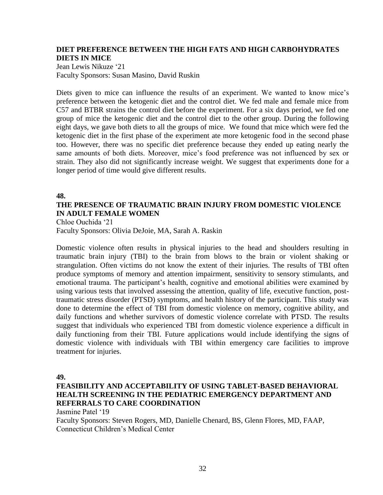#### **DIET PREFERENCE BETWEEN THE HIGH FATS AND HIGH CARBOHYDRATES DIETS IN MICE**

Jean Lewis Nikuze '21 Faculty Sponsors: Susan Masino, David Ruskin

Diets given to mice can influence the results of an experiment. We wanted to know mice's preference between the ketogenic diet and the control diet. We fed male and female mice from C57 and BTBR strains the control diet before the experiment. For a six days period, we fed one group of mice the ketogenic diet and the control diet to the other group. During the following eight days, we gave both diets to all the groups of mice. We found that mice which were fed the ketogenic diet in the first phase of the experiment ate more ketogenic food in the second phase too. However, there was no specific diet preference because they ended up eating nearly the same amounts of both diets. Moreover, mice's food preference was not influenced by sex or strain. They also did not significantly increase weight. We suggest that experiments done for a longer period of time would give different results.

#### **48.**

### **THE PRESENCE OF TRAUMATIC BRAIN INJURY FROM DOMESTIC VIOLENCE IN ADULT FEMALE WOMEN**

Chloe Ouchida '21 Faculty Sponsors: Olivia DeJoie, MA, Sarah A. Raskin

Domestic violence often results in physical injuries to the head and shoulders resulting in traumatic brain injury (TBI) to the brain from blows to the brain or violent shaking or strangulation. Often victims do not know the extent of their injuries. The results of TBI often produce symptoms of memory and attention impairment, sensitivity to sensory stimulants, and emotional trauma. The participant's health, cognitive and emotional abilities were examined by using various tests that involved assessing the attention, quality of life, executive function, posttraumatic stress disorder (PTSD) symptoms, and health history of the participant. This study was done to determine the effect of TBI from domestic violence on memory, cognitive ability, and daily functions and whether survivors of domestic violence correlate with PTSD. The results suggest that individuals who experienced TBI from domestic violence experience a difficult in daily functioning from their TBI. Future applications would include identifying the signs of domestic violence with individuals with TBI within emergency care facilities to improve treatment for injuries.

#### **49.**

#### **FEASIBILITY AND ACCEPTABILITY OF USING TABLET-BASED BEHAVIORAL HEALTH SCREENING IN THE PEDIATRIC EMERGENCY DEPARTMENT AND REFERRALS TO CARE COORDINATION**

Jasmine Patel '19

Faculty Sponsors: Steven Rogers, MD, Danielle Chenard, BS, Glenn Flores, MD, FAAP, Connecticut Children's Medical Center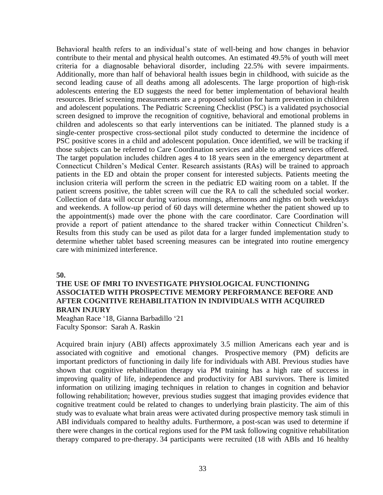Behavioral health refers to an individual's state of well-being and how changes in behavior contribute to their mental and physical health outcomes. An estimated 49.5% of youth will meet criteria for a diagnosable behavioral disorder, including 22.5% with severe impairments. Additionally, more than half of behavioral health issues begin in childhood, with suicide as the second leading cause of all deaths among all adolescents. The large proportion of high-risk adolescents entering the ED suggests the need for better implementation of behavioral health resources. Brief screening measurements are a proposed solution for harm prevention in children and adolescent populations. The Pediatric Screening Checklist (PSC) is a validated psychosocial screen designed to improve the recognition of cognitive, behavioral and emotional problems in children and adolescents so that early interventions can be initiated. The planned study is a single-center prospective cross-sectional pilot study conducted to determine the incidence of PSC positive scores in a child and adolescent population. Once identified, we will be tracking if those subjects can be referred to Care Coordination services and able to attend services offered. The target population includes children ages 4 to 18 years seen in the emergency department at Connecticut Children's Medical Center. Research assistants (RAs) will be trained to approach patients in the ED and obtain the proper consent for interested subjects. Patients meeting the inclusion criteria will perform the screen in the pediatric ED waiting room on a tablet. If the patient screens positive, the tablet screen will cue the RA to call the scheduled social worker. Collection of data will occur during various mornings, afternoons and nights on both weekdays and weekends. A follow-up period of 60 days will determine whether the patient showed up to the appointment(s) made over the phone with the care coordinator. Care Coordination will provide a report of patient attendance to the shared tracker within Connecticut Children's. Results from this study can be used as pilot data for a larger funded implementation study to determine whether tablet based screening measures can be integrated into routine emergency care with minimized interference.

**50.**

#### **THE USE OF fMRI TO INVESTIGATE PHYSIOLOGICAL FUNCTIONING ASSOCIATED WITH PROSPECTIVE MEMORY PERFORMANCE BEFORE AND AFTER COGNITIVE REHABILITATION IN INDIVIDUALS WITH ACQUIRED BRAIN INJURY**

Meaghan Race '18, Gianna Barbadillo '21 Faculty Sponsor: Sarah A. Raskin

Acquired brain injury (ABI) affects approximately 3.5 million Americans each year and is associated with cognitive and emotional changes. Prospective memory (PM) deficits are important predictors of functioning in daily life for individuals with ABI. Previous studies have shown that cognitive rehabilitation therapy via PM training has a high rate of success in improving quality of life, independence and productivity for ABI survivors. There is limited information on utilizing imaging techniques in relation to changes in cognition and behavior following rehabilitation; however, previous studies suggest that imaging provides evidence that cognitive treatment could be related to changes to underlying brain plasticity. The aim of this study was to evaluate what brain areas were activated during prospective memory task stimuli in ABI individuals compared to healthy adults. Furthermore, a post-scan was used to determine if there were changes in the cortical regions used for the PM task following cognitive rehabilitation therapy compared to pre-therapy. 34 participants were recruited (18 with ABIs and 16 healthy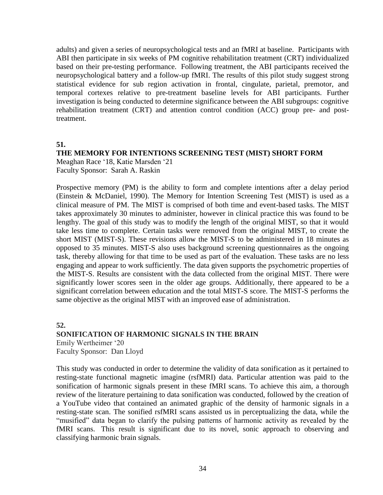adults) and given a series of neuropsychological tests and an fMRI at baseline. Participants with ABI then participate in six weeks of PM cognitive rehabilitation treatment (CRT) individualized based on their pre-testing performance. Following treatment, the ABI participants received the neuropsychological battery and a follow-up fMRI. The results of this pilot study suggest strong statistical evidence for sub region activation in frontal, cingulate, parietal, premotor, and temporal cortexes relative to pre-treatment baseline levels for ABI participants. Further investigation is being conducted to determine significance between the ABI subgroups: cognitive rehabilitation treatment (CRT) and attention control condition (ACC) group pre- and posttreatment.

#### **51.**

## **THE MEMORY FOR INTENTIONS SCREENING TEST (MIST) SHORT FORM**

Meaghan Race '18, Katie Marsden '21 Faculty Sponsor: Sarah A. Raskin

Prospective memory (PM) is the ability to form and complete intentions after a delay period (Einstein & McDaniel, 1990). The Memory for Intention Screening Test (MIST) is used as a clinical measure of PM. The MIST is comprised of both time and event-based tasks. The MIST takes approximately 30 minutes to administer, however in clinical practice this was found to be lengthy. The goal of this study was to modify the length of the original MIST, so that it would take less time to complete. Certain tasks were removed from the original MIST, to create the short MIST (MIST-S). These revisions allow the MIST-S to be administered in 18 minutes as opposed to 35 minutes. MIST-S also uses background screening questionnaires as the ongoing task, thereby allowing for that time to be used as part of the evaluation. These tasks are no less engaging and appear to work sufficiently. The data given supports the psychometric properties of the MIST-S. Results are consistent with the data collected from the original MIST. There were significantly lower scores seen in the older age groups. Additionally, there appeared to be a significant correlation between education and the total MIST-S score. The MIST-S performs the same objective as the original MIST with an improved ease of administration.

**52. SONIFICATION OF HARMONIC SIGNALS IN THE BRAIN** Emily Wertheimer '20 Faculty Sponsor: Dan Lloyd

This study was conducted in order to determine the validity of data sonification as it pertained to resting-state functional magnetic imagine (rsfMRI) data. Particular attention was paid to the sonification of harmonic signals present in these fMRI scans. To achieve this aim, a thorough review of the literature pertaining to data sonification was conducted, followed by the creation of a YouTube video that contained an animated graphic of the density of harmonic signals in a resting-state scan. The sonified rsfMRI scans assisted us in perceptualizing the data, while the "musified" data began to clarify the pulsing patterns of harmonic activity as revealed by the fMRI scans. This result is significant due to its novel, sonic approach to observing and classifying harmonic brain signals.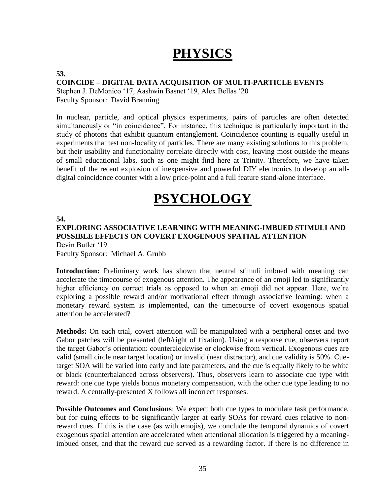## **PHYSICS**

#### **53.**

#### **COINCIDE – DIGITAL DATA ACQUISITION OF MULTI-PARTICLE EVENTS**

Stephen J. DeMonico '17, Aashwin Basnet '19, Alex Bellas '20 Faculty Sponsor: David Branning

In nuclear, particle, and optical physics experiments, pairs of particles are often detected simultaneously or "in coincidence". For instance, this technique is particularly important in the study of photons that exhibit quantum entanglement. Coincidence counting is equally useful in experiments that test non-locality of particles. There are many existing solutions to this problem, but their usability and functionality correlate directly with cost, leaving most outside the means of small educational labs, such as one might find here at Trinity. Therefore, we have taken benefit of the recent explosion of inexpensive and powerful DIY electronics to develop an alldigital coincidence counter with a low price-point and a full feature stand-alone interface.

## **PSYCHOLOGY**

#### **54.**

#### **EXPLORING ASSOCIATIVE LEARNING WITH MEANING-IMBUED STIMULI AND POSSIBLE EFFECTS ON COVERT EXOGENOUS SPATIAL ATTENTION** Devin Butler '19

Faculty Sponsor: Michael A. Grubb

Introduction: Preliminary work has shown that neutral stimuli imbued with meaning can accelerate the timecourse of exogenous attention. The appearance of an emoji led to significantly higher efficiency on correct trials as opposed to when an emoji did not appear. Here, we're exploring a possible reward and/or motivational effect through associative learning: when a monetary reward system is implemented, can the timecourse of covert exogenous spatial attention be accelerated?

**Methods:** On each trial, covert attention will be manipulated with a peripheral onset and two Gabor patches will be presented (left/right of fixation). Using a response cue, observers report the target Gabor's orientation: counterclockwise or clockwise from vertical. Exogenous cues are valid (small circle near target location) or invalid (near distractor), and cue validity is 50%. Cuetarget SOA will be varied into early and late parameters, and the cue is equally likely to be white or black (counterbalanced across observers). Thus, observers learn to associate cue type with reward: one cue type yields bonus monetary compensation, with the other cue type leading to no reward. A centrally-presented X follows all incorrect responses.

**Possible Outcomes and Conclusions**: We expect both cue types to modulate task performance, but for cuing effects to be significantly larger at early SOAs for reward cues relative to nonreward cues. If this is the case (as with emojis), we conclude the temporal dynamics of covert exogenous spatial attention are accelerated when attentional allocation is triggered by a meaningimbued onset, and that the reward cue served as a rewarding factor. If there is no difference in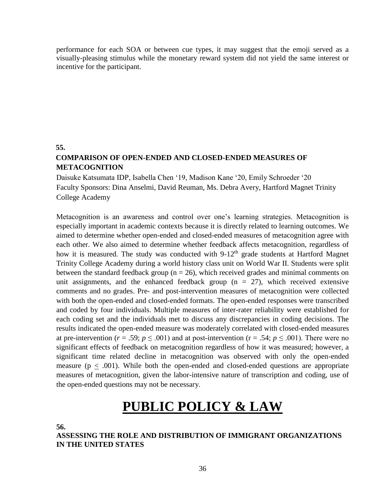performance for each SOA or between cue types, it may suggest that the emoji served as a visually-pleasing stimulus while the monetary reward system did not yield the same interest or incentive for the participant.

**55.**

### **COMPARISON OF OPEN-ENDED AND CLOSED-ENDED MEASURES OF METACOGNITION**

Daisuke Katsumata IDP, Isabella Chen '19, Madison Kane '20, Emily Schroeder '20 Faculty Sponsors: Dina Anselmi, David Reuman, Ms. Debra Avery, Hartford Magnet Trinity College Academy

Metacognition is an awareness and control over one's learning strategies. Metacognition is especially important in academic contexts because it is directly related to learning outcomes. We aimed to determine whether open-ended and closed-ended measures of metacognition agree with each other. We also aimed to determine whether feedback affects metacognition, regardless of how it is measured. The study was conducted with  $9-12<sup>th</sup>$  grade students at Hartford Magnet Trinity College Academy during a world history class unit on World War II. Students were split between the standard feedback group ( $n = 26$ ), which received grades and minimal comments on unit assignments, and the enhanced feedback group  $(n = 27)$ , which received extensive comments and no grades. Pre- and post-intervention measures of metacognition were collected with both the open-ended and closed-ended formats. The open-ended responses were transcribed and coded by four individuals. Multiple measures of inter-rater reliability were established for each coding set and the individuals met to discuss any discrepancies in coding decisions. The results indicated the open-ended measure was moderately correlated with closed-ended measures at pre-intervention ( $r = .59$ ;  $p \le .001$ ) and at post-intervention ( $r = .54$ ;  $p \le .001$ ). There were no significant effects of feedback on metacognition regardless of how it was measured; however, a significant time related decline in metacognition was observed with only the open-ended measure ( $p < .001$ ). While both the open-ended and closed-ended questions are appropriate measures of metacognition, given the labor-intensive nature of transcription and coding, use of the open-ended questions may not be necessary.

## **PUBLIC POLICY & LAW**

**56.**

**ASSESSING THE ROLE AND DISTRIBUTION OF IMMIGRANT ORGANIZATIONS IN THE UNITED STATES**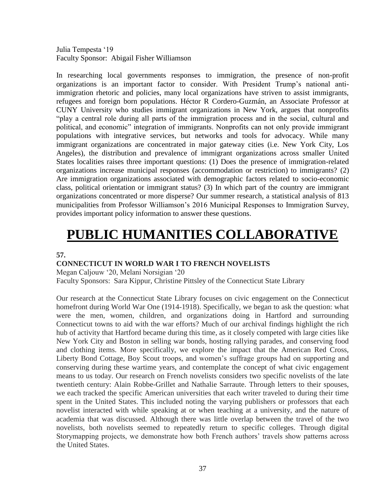Julia Tempesta '19 Faculty Sponsor: Abigail Fisher Williamson

In researching local governments responses to immigration, the presence of non-profit organizations is an important factor to consider. With President Trump's national antiimmigration rhetoric and policies, many local organizations have striven to assist immigrants, refugees and foreign born populations. Héctor R Cordero-Guzmán, an Associate Professor at CUNY University who studies immigrant organizations in New York, argues that nonprofits "play a central role during all parts of the immigration process and in the social, cultural and political, and economic" integration of immigrants. Nonprofits can not only provide immigrant populations with integrative services, but networks and tools for advocacy. While many immigrant organizations are concentrated in major gateway cities (i.e. New York City, Los Angeles), the distribution and prevalence of immigrant organizations across smaller United States localities raises three important questions: (1) Does the presence of immigration-related organizations increase municipal responses (accommodation or restriction) to immigrants? (2) Are immigration organizations associated with demographic factors related to socio-economic class, political orientation or immigrant status? (3) In which part of the country are immigrant organizations concentrated or more disperse? Our summer research, a statistical analysis of 813 municipalities from Professor Williamson's 2016 Municipal Responses to Immigration Survey, provides important policy information to answer these questions.

# **PUBLIC HUMANITIES COLLABORATIVE**

**57.**

### **CONNECTICUT IN WORLD WAR I TO FRENCH NOVELISTS**

Megan Caljouw '20, Melani Norsigian '20 Faculty Sponsors: Sara Kippur, Christine Pittsley of the Connecticut State Library

Our research at the Connecticut State Library focuses on civic engagement on the Connecticut homefront during World War One (1914-1918). Specifically, we began to ask the question: what were the men, women, children, and organizations doing in Hartford and surrounding Connecticut towns to aid with the war efforts? Much of our archival findings highlight the rich hub of activity that Hartford became during this time, as it closely competed with large cities like New York City and Boston in selling war bonds, hosting rallying parades, and conserving food and clothing items. More specifically, we explore the impact that the American Red Cross, Liberty Bond Cottage, Boy Scout troops, and women's suffrage groups had on supporting and conserving during these wartime years, and contemplate the concept of what civic engagement means to us today. Our research on French novelists considers two specific novelists of the late twentieth century: Alain Robbe-Grillet and Nathalie Sarraute. Through letters to their spouses, we each tracked the specific American universities that each writer traveled to during their time spent in the United States. This included noting the varying publishers or professors that each novelist interacted with while speaking at or when teaching at a university, and the nature of academia that was discussed. Although there was little overlap between the travel of the two novelists, both novelists seemed to repeatedly return to specific colleges. Through digital Storymapping projects, we demonstrate how both French authors' travels show patterns across the United States.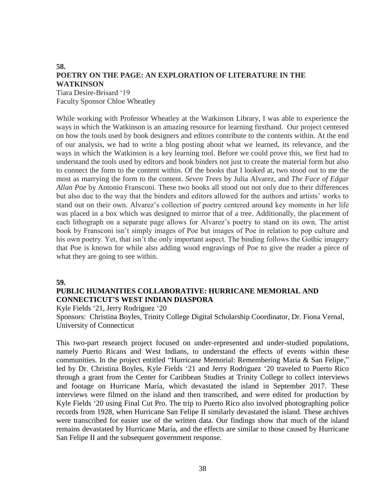#### **58. POETRY ON THE PAGE: AN EXPLORATION OF LITERATURE IN THE WATKINSON** Tiara Desire-Brisard '19

Faculty Sponsor Chloe Wheatley

While working with Professor Wheatley at the Watkinson Library, I was able to experience the ways in which the Watkinson is an amazing resource for learning firsthand. Our project centered on how the tools used by book designers and editors contribute to the contents within. At the end of our analysis, we had to write a blog posting about what we learned, its relevance, and the ways in which the Watkinson is a key learning tool. Before we could prove this, we first had to understand the tools used by editors and book binders not just to create the material form but also to connect the form to the content within. Of the books that I looked at, two stood out to me the most as marrying the form to the content. *Seven Trees* by Julia Alvarez, and *The Face of Edgar Allan Poe* by Antonio Fransconi. These two books all stood out not only due to their differences but also due to the way that the binders and editors allowed for the authors and artists' works to stand out on their own. Alvarez's collection of poetry centered around key moments in her life was placed in a box which was designed to mirror that of a tree. Additionally, the placement of each lithograph on a separate page allows for Alvarez's poetry to stand on its own. The artist book by Fransconi isn't simply images of Poe but images of Poe in relation to pop culture and his own poetry. Yet, that isn't the only important aspect. The binding follows the Gothic imagery that Poe is known for while also adding wood engravings of Poe to give the reader a piece of what they are going to see within.

#### **59.**

### **PUBLIC HUMANITIES COLLABORATIVE: HURRICANE MEMORIAL AND CONNECTICUT'S WEST INDIAN DIASPORA**

#### Kyle Fields '21, Jerry Rodriguez '20

Sponsors: Christina Boyles, Trinity College Digital Scholarship Coordinator, Dr. Fiona Vernal, University of Connecticut

This two-part research project focused on under-represented and under-studied populations, namely Puerto Ricans and West Indians, to understand the effects of events within these communities. In the project entitled "Hurricane Memorial: Remembering Maria & San Felipe," led by Dr. Christina Boyles, Kyle Fields '21 and Jerry Rodriguez '20 traveled to Puerto Rico through a grant from the Center for Caribbean Studies at Trinity College to collect interviews and footage on Hurricane María, which devastated the island in September 2017. These interviews were filmed on the island and then transcribed, and were edited for production by Kyle Fields '20 using Final Cut Pro. The trip to Puerto Rico also involved photographing police records from 1928, when Hurricane San Felipe II similarly devastated the island. These archives were transcribed for easier use of the written data. Our findings show that much of the island remains devastated by Hurricane María, and the effects are similar to those caused by Hurricane San Felipe II and the subsequent government response.